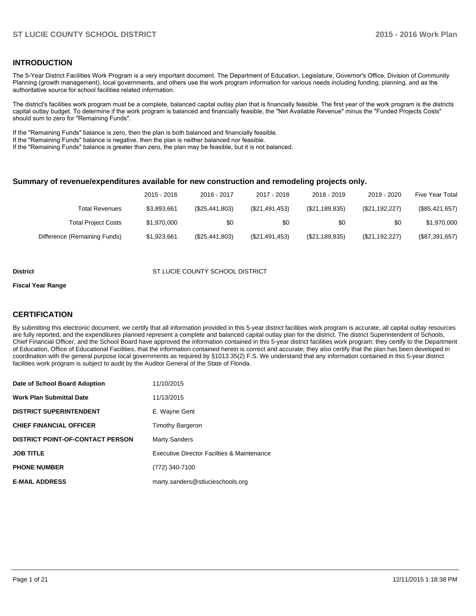#### **INTRODUCTION**

The 5-Year District Facilities Work Program is a very important document. The Department of Education, Legislature, Governor's Office, Division of Community Planning (growth management), local governments, and others use the work program information for various needs including funding, planning, and as the authoritative source for school facilities related information.

The district's facilities work program must be a complete, balanced capital outlay plan that is financially feasible. The first year of the work program is the districts capital outlay budget. To determine if the work program is balanced and financially feasible, the "Net Available Revenue" minus the "Funded Projects Costs" should sum to zero for "Remaining Funds".

If the "Remaining Funds" balance is zero, then the plan is both balanced and financially feasible.

If the "Remaining Funds" balance is negative, then the plan is neither balanced nor feasible.

If the "Remaining Funds" balance is greater than zero, the plan may be feasible, but it is not balanced.

#### **Summary of revenue/expenditures available for new construction and remodeling projects only.**

|                              | 2015 - 2016 | 2016 - 2017    | 2017 - 2018    | 2018 - 2019    | 2019 - 2020    | Five Year Total |
|------------------------------|-------------|----------------|----------------|----------------|----------------|-----------------|
| Total Revenues               | \$3,893,661 | (\$25,441,803) | (\$21,491,453) | (\$21,189,835) | (\$21,192,227) | (\$85,421,657)  |
| <b>Total Project Costs</b>   | \$1,970,000 | \$0            | \$0            | \$0            | \$0            | \$1.970.000     |
| Difference (Remaining Funds) | \$1,923,661 | (\$25,441,803) | (\$21,491,453) | (\$21,189,835) | (\$21,192,227) | (\$87,391,657)  |

#### **District COUNTY SCHOOL DISTRICT COUNTY SCHOOL DISTRICT**

#### **Fiscal Year Range**

#### **CERTIFICATION**

By submitting this electronic document, we certify that all information provided in this 5-year district facilities work program is accurate, all capital outlay resources are fully reported, and the expenditures planned represent a complete and balanced capital outlay plan for the district. The district Superintendent of Schools, Chief Financial Officer, and the School Board have approved the information contained in this 5-year district facilities work program; they certify to the Department of Education, Office of Educational Facilities, that the information contained herein is correct and accurate; they also certify that the plan has been developed in coordination with the general purpose local governments as required by §1013.35(2) F.S. We understand that any information contained in this 5-year district facilities work program is subject to audit by the Auditor General of the State of Florida.

| Date of School Board Adoption           | 11/10/2015                                 |
|-----------------------------------------|--------------------------------------------|
| <b>Work Plan Submittal Date</b>         | 11/13/2015                                 |
| <b>DISTRICT SUPERINTENDENT</b>          | E. Wayne Gent                              |
| <b>CHIEF FINANCIAL OFFICER</b>          | <b>Timothy Bargeron</b>                    |
| <b>DISTRICT POINT-OF-CONTACT PERSON</b> | <b>Marty Sanders</b>                       |
| <b>JOB TITLE</b>                        | Executive Director Facilties & Maintenance |
| <b>PHONE NUMBER</b>                     | (772) 340-7100                             |
| <b>E-MAIL ADDRESS</b>                   | marty.sanders@stlucieschools.org           |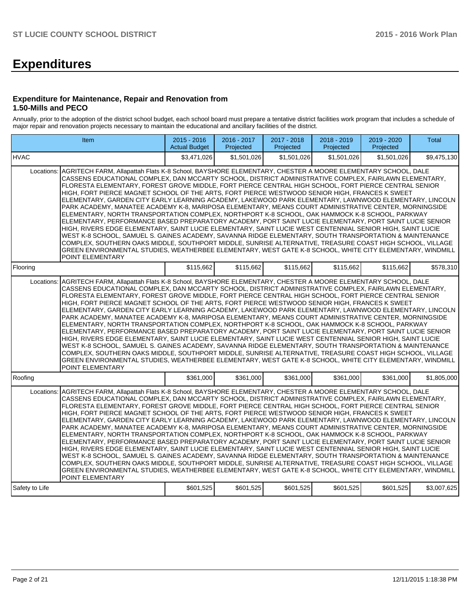# **Expenditures**

#### **Expenditure for Maintenance, Repair and Renovation from 1.50-Mills and PECO**

Annually, prior to the adoption of the district school budget, each school board must prepare a tentative district facilities work program that includes a schedule of major repair and renovation projects necessary to maintain the educational and ancillary facilities of the district.

|                | Item                                                                                                                                                                                                                                                                                                                                                                                                                                                                                                                                                                                                                                                                                                                                                                                                                                                                                                                                                                                                                                                                                                                                                                                                                                                                                                                                                                                                                 | 2015 - 2016<br><b>Actual Budget</b> | 2016 - 2017<br>Projected | 2017 - 2018<br>Projected | 2018 - 2019<br>Projected | 2019 - 2020<br>Projected | Total       |  |  |  |  |  |
|----------------|----------------------------------------------------------------------------------------------------------------------------------------------------------------------------------------------------------------------------------------------------------------------------------------------------------------------------------------------------------------------------------------------------------------------------------------------------------------------------------------------------------------------------------------------------------------------------------------------------------------------------------------------------------------------------------------------------------------------------------------------------------------------------------------------------------------------------------------------------------------------------------------------------------------------------------------------------------------------------------------------------------------------------------------------------------------------------------------------------------------------------------------------------------------------------------------------------------------------------------------------------------------------------------------------------------------------------------------------------------------------------------------------------------------------|-------------------------------------|--------------------------|--------------------------|--------------------------|--------------------------|-------------|--|--|--|--|--|
| <b>HVAC</b>    |                                                                                                                                                                                                                                                                                                                                                                                                                                                                                                                                                                                                                                                                                                                                                                                                                                                                                                                                                                                                                                                                                                                                                                                                                                                                                                                                                                                                                      | \$3.471.026                         | \$1.501.026              | \$1.501.026              | \$1,501.026              | \$1.501.026              | \$9,475,130 |  |  |  |  |  |
| Locations:     | AGRITECH FARM, Allapattah Flats K-8 School, BAYSHORE ELEMENTARY, CHESTER A MOORE ELEMENTARY SCHOOL, DALE<br>CASSENS EDUCATIONAL COMPLEX, DAN MCCARTY SCHOOL, DISTRICT ADMINISTRATIVE COMPLEX, FAIRLAWN ELEMENTARY,<br>FLORESTA ELEMENTARY, FOREST GROVE MIDDLE, FORT PIERCE CENTRAL HIGH SCHOOL, FORT PIERCE CENTRAL SENIOR<br>HIGH, FORT PIERCE MAGNET SCHOOL OF THE ARTS, FORT PIERCE WESTWOOD SENIOR HIGH, FRANCES K SWEET<br>ELEMENTARY, GARDEN CITY EARLY LEARNING ACADEMY, LAKEWOOD PARK ELEMENTARY, LAWNWOOD ELEMENTARY, LINCOLN<br>PARK ACADEMY, MANATEE ACADEMY K-8, MARIPOSA ELEMENTARY, MEANS COURT ADMINISTRATIVE CENTER, MORNINGSIDE<br>ELEMENTARY, NORTH TRANSPORTATION COMPLEX, NORTHPORT K-8 SCHOOL, OAK HAMMOCK K-8 SCHOOL, PARKWAY<br>ELEMENTARY, PERFORMANCE BASED PREPARATORY ACADEMY, PORT SAINT LUCIE ELEMENTARY, PORT SAINT LUCIE SENIOR<br>HIGH, RIVERS EDGE ELEMENTARY, SAINT LUCIE ELEMENTARY, SAINT LUCIE WEST CENTENNIAL SENIOR HIGH, SAINT LUCIE<br>WEST K-8 SCHOOL, SAMUEL S. GAINES ACADEMY, SAVANNA RIDGE ELEMENTARY, SOUTH TRANSPORTATION & MAINTENANCE<br>COMPLEX, SOUTHERN OAKS MIDDLE, SOUTHPORT MIDDLE, SUNRISE ALTERNATIVE, TREASURE COAST HIGH SCHOOL, VILLAGE<br>GREEN ENVIRONMENTAL STUDIES, WEATHERBEE ELEMENTARY, WEST GATE K-8 SCHOOL, WHITE CITY ELEMENTARY, WINDMILL<br>POINT ELEMENTARY<br>\$115,662<br>\$115,662<br>\$115,662<br>\$115,662<br>\$115,662<br>\$578,310 |                                     |                          |                          |                          |                          |             |  |  |  |  |  |
| Flooring       |                                                                                                                                                                                                                                                                                                                                                                                                                                                                                                                                                                                                                                                                                                                                                                                                                                                                                                                                                                                                                                                                                                                                                                                                                                                                                                                                                                                                                      |                                     |                          |                          |                          |                          |             |  |  |  |  |  |
| Locations:     | AGRITECH FARM, Allapattah Flats K-8 School, BAYSHORE ELEMENTARY, CHESTER A MOORE ELEMENTARY SCHOOL, DALE<br>CASSENS EDUCATIONAL COMPLEX, DAN MCCARTY SCHOOL, DISTRICT ADMINISTRATIVE COMPLEX, FAIRLAWN ELEMENTARY,<br>FLORESTA ELEMENTARY, FOREST GROVE MIDDLE, FORT PIERCE CENTRAL HIGH SCHOOL, FORT PIERCE CENTRAL SENIOR<br>HIGH, FORT PIERCE MAGNET SCHOOL OF THE ARTS, FORT PIERCE WESTWOOD SENIOR HIGH, FRANCES K SWEET<br>ELEMENTARY, GARDEN CITY EARLY LEARNING ACADEMY, LAKEWOOD PARK ELEMENTARY, LAWNWOOD ELEMENTARY, LINCOLN<br>PARK ACADEMY, MANATEE ACADEMY K-8, MARIPOSA ELEMENTARY, MEANS COURT ADMINISTRATIVE CENTER, MORNINGSIDE<br>ELEMENTARY. NORTH TRANSPORTATION COMPLEX. NORTHPORT K-8 SCHOOL. OAK HAMMOCK K-8 SCHOOL. PARKWAY<br>ELEMENTARY, PERFORMANCE BASED PREPARATORY ACADEMY, PORT SAINT LUCIE ELEMENTARY, PORT SAINT LUCIE SENIOR<br>HIGH, RIVERS EDGE ELEMENTARY, SAINT LUCIE ELEMENTARY, SAINT LUCIE WEST CENTENNIAL SENIOR HIGH, SAINT LUCIE<br>WEST K-8 SCHOOL, SAMUEL S. GAINES ACADEMY, SAVANNA RIDGE ELEMENTARY, SOUTH TRANSPORTATION & MAINTENANCE<br>COMPLEX, SOUTHERN OAKS MIDDLE, SOUTHPORT MIDDLE, SUNRISE ALTERNATIVE, TREASURE COAST HIGH SCHOOL, VILLAGE<br>GREEN ENVIRONMENTAL STUDIES, WEATHERBEE ELEMENTARY, WEST GATE K-8 SCHOOL, WHITE CITY ELEMENTARY, WINDMILL<br>POINT ELEMENTARY                                                                               |                                     |                          |                          |                          |                          |             |  |  |  |  |  |
| Roofing        |                                                                                                                                                                                                                                                                                                                                                                                                                                                                                                                                                                                                                                                                                                                                                                                                                                                                                                                                                                                                                                                                                                                                                                                                                                                                                                                                                                                                                      | \$361,000                           | \$361,000                | \$361,000                | \$361,000                | \$361,000                | \$1,805,000 |  |  |  |  |  |
| Locations:     | AGRITECH FARM, Allapattah Flats K-8 School, BAYSHORE ELEMENTARY, CHESTER A MOORE ELEMENTARY SCHOOL, DALE<br>CASSENS EDUCATIONAL COMPLEX. DAN MCCARTY SCHOOL. DISTRICT ADMINISTRATIVE COMPLEX. FAIRLAWN ELEMENTARY.<br>FLORESTA ELEMENTARY, FOREST GROVE MIDDLE, FORT PIERCE CENTRAL HIGH SCHOOL, FORT PIERCE CENTRAL SENIOR<br>HIGH. FORT PIERCE MAGNET SCHOOL OF THE ARTS. FORT PIERCE WESTWOOD SENIOR HIGH. FRANCES K SWEET<br>ELEMENTARY, GARDEN CITY EARLY LEARNING ACADEMY, LAKEWOOD PARK ELEMENTARY, LAWNWOOD ELEMENTARY, LINCOLN<br>PARK ACADEMY, MANATEE ACADEMY K-8, MARIPOSA ELEMENTARY, MEANS COURT ADMINISTRATIVE CENTER, MORNINGSIDE<br>ELEMENTARY, NORTH TRANSPORTATION COMPLEX, NORTHPORT K-8 SCHOOL, OAK HAMMOCK K-8 SCHOOL, PARKWAY<br>ELEMENTARY, PERFORMANCE BASED PREPARATORY ACADEMY, PORT SAINT LUCIE ELEMENTARY, PORT SAINT LUCIE SENIOR<br>HIGH. RIVERS EDGE ELEMENTARY. SAINT LUCIE ELEMENTARY. SAINT LUCIE WEST CENTENNIAL SENIOR HIGH. SAINT LUCIE<br>WEST K-8 SCHOOL, SAMUEL S. GAINES ACADEMY, SAVANNA RIDGE ELEMENTARY, SOUTH TRANSPORTATION & MAINTENANCE<br>COMPLEX, SOUTHERN OAKS MIDDLE, SOUTHPORT MIDDLE, SUNRISE ALTERNATIVE, TREASURE COAST HIGH SCHOOL, VILLAGE<br>GREEN ENVIRONMENTAL STUDIES, WEATHERBEE ELEMENTARY, WEST GATE K-8 SCHOOL, WHITE CITY ELEMENTARY, WINDMILL<br>POINT ELEMENTARY                                                                               |                                     |                          |                          |                          |                          |             |  |  |  |  |  |
| Safety to Life |                                                                                                                                                                                                                                                                                                                                                                                                                                                                                                                                                                                                                                                                                                                                                                                                                                                                                                                                                                                                                                                                                                                                                                                                                                                                                                                                                                                                                      | \$601,525                           | \$601,525                | \$601,525                | \$601,525                | \$601,525                | \$3,007,625 |  |  |  |  |  |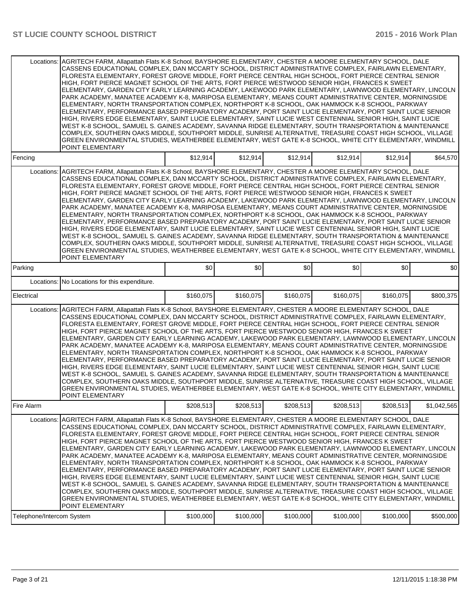|                                         | Locations: AGRITECH FARM. Allapattah Flats K-8 School. BAYSHORE ELEMENTARY. CHESTER A MOORE ELEMENTARY SCHOOL. DALE<br>CASSENS EDUCATIONAL COMPLEX, DAN MCCARTY SCHOOL, DISTRICT ADMINISTRATIVE COMPLEX, FAIRLAWN ELEMENTARY,<br>FLORESTA ELEMENTARY, FOREST GROVE MIDDLE, FORT PIERCE CENTRAL HIGH SCHOOL, FORT PIERCE CENTRAL SENIOR<br>HIGH, FORT PIERCE MAGNET SCHOOL OF THE ARTS, FORT PIERCE WESTWOOD SENIOR HIGH, FRANCES K SWEET<br>ELEMENTARY, GARDEN CITY EARLY LEARNING ACADEMY, LAKEWOOD PARK ELEMENTARY, LAWNWOOD ELEMENTARY, LINCOLN<br>PARK ACADEMY, MANATEE ACADEMY K-8, MARIPOSA ELEMENTARY, MEANS COURT ADMINISTRATIVE CENTER, MORNINGSIDE<br>ELEMENTARY, NORTH TRANSPORTATION COMPLEX, NORTHPORT K-8 SCHOOL, OAK HAMMOCK K-8 SCHOOL, PARKWAY<br>ELEMENTARY, PERFORMANCE BASED PREPARATORY ACADEMY, PORT SAINT LUCIE ELEMENTARY, PORT SAINT LUCIE SENIOR<br>HIGH, RIVERS EDGE ELEMENTARY, SAINT LUCIE ELEMENTARY, SAINT LUCIE WEST CENTENNIAL SENIOR HIGH, SAINT LUCIE<br>WEST K-8 SCHOOL, SAMUEL S. GAINES ACADEMY, SAVANNA RIDGE ELEMENTARY, SOUTH TRANSPORTATION & MAINTENANCE<br>COMPLEX, SOUTHERN OAKS MIDDLE, SOUTHPORT MIDDLE, SUNRISE ALTERNATIVE, TREASURE COAST HIGH SCHOOL, VILLAGE<br>GREEN ENVIRONMENTAL STUDIES, WEATHERBEE ELEMENTARY, WEST GATE K-8 SCHOOL, WHITE CITY ELEMENTARY, WINDMILL<br>POINT ELEMENTARY |           |           |           |           |           |             |
|-----------------------------------------|---------------------------------------------------------------------------------------------------------------------------------------------------------------------------------------------------------------------------------------------------------------------------------------------------------------------------------------------------------------------------------------------------------------------------------------------------------------------------------------------------------------------------------------------------------------------------------------------------------------------------------------------------------------------------------------------------------------------------------------------------------------------------------------------------------------------------------------------------------------------------------------------------------------------------------------------------------------------------------------------------------------------------------------------------------------------------------------------------------------------------------------------------------------------------------------------------------------------------------------------------------------------------------------------------------------------------------------------------|-----------|-----------|-----------|-----------|-----------|-------------|
| Fencing                                 |                                                                                                                                                                                                                                                                                                                                                                                                                                                                                                                                                                                                                                                                                                                                                                                                                                                                                                                                                                                                                                                                                                                                                                                                                                                                                                                                                   | \$12,914  | \$12,914  | \$12,914  | \$12,914  | \$12,914  | \$64,570    |
| Locations:                              | AGRITECH FARM, Allapattah Flats K-8 School, BAYSHORE ELEMENTARY, CHESTER A MOORE ELEMENTARY SCHOOL, DALE<br>CASSENS EDUCATIONAL COMPLEX, DAN MCCARTY SCHOOL, DISTRICT ADMINISTRATIVE COMPLEX, FAIRLAWN ELEMENTARY,<br>FLORESTA ELEMENTARY, FOREST GROVE MIDDLE, FORT PIERCE CENTRAL HIGH SCHOOL, FORT PIERCE CENTRAL SENIOR<br>HIGH, FORT PIERCE MAGNET SCHOOL OF THE ARTS, FORT PIERCE WESTWOOD SENIOR HIGH, FRANCES K SWEET<br>ELEMENTARY, GARDEN CITY EARLY LEARNING ACADEMY, LAKEWOOD PARK ELEMENTARY, LAWNWOOD ELEMENTARY, LINCOLN<br>PARK ACADEMY, MANATEE ACADEMY K-8, MARIPOSA ELEMENTARY, MEANS COURT ADMINISTRATIVE CENTER, MORNINGSIDE<br>ELEMENTARY, NORTH TRANSPORTATION COMPLEX, NORTHPORT K-8 SCHOOL, OAK HAMMOCK K-8 SCHOOL, PARKWAY<br>ELEMENTARY, PERFORMANCE BASED PREPARATORY ACADEMY, PORT SAINT LUCIE ELEMENTARY, PORT SAINT LUCIE SENIOR<br>HIGH, RIVERS EDGE ELEMENTARY, SAINT LUCIE ELEMENTARY, SAINT LUCIE WEST CENTENNIAL SENIOR HIGH, SAINT LUCIE<br>WEST K-8 SCHOOL, SAMUEL S. GAINES ACADEMY, SAVANNA RIDGE ELEMENTARY, SOUTH TRANSPORTATION & MAINTENANCE<br>COMPLEX. SOUTHERN OAKS MIDDLE. SOUTHPORT MIDDLE. SUNRISE ALTERNATIVE. TREASURE COAST HIGH SCHOOL. VILLAGE<br>GREEN ENVIRONMENTAL STUDIES, WEATHERBEE ELEMENTARY, WEST GATE K-8 SCHOOL, WHITE CITY ELEMENTARY, WINDMILL<br>POINT ELEMENTARY            |           |           |           |           |           |             |
| Parking                                 |                                                                                                                                                                                                                                                                                                                                                                                                                                                                                                                                                                                                                                                                                                                                                                                                                                                                                                                                                                                                                                                                                                                                                                                                                                                                                                                                                   | \$0       | \$0       | \$0       | \$0       | \$0       | \$0         |
| Locations:                              | No Locations for this expenditure.                                                                                                                                                                                                                                                                                                                                                                                                                                                                                                                                                                                                                                                                                                                                                                                                                                                                                                                                                                                                                                                                                                                                                                                                                                                                                                                |           |           |           |           |           |             |
| Electrical                              |                                                                                                                                                                                                                                                                                                                                                                                                                                                                                                                                                                                                                                                                                                                                                                                                                                                                                                                                                                                                                                                                                                                                                                                                                                                                                                                                                   | \$160,075 | \$160,075 | \$160,075 | \$160,075 | \$160,075 | \$800,375   |
| Locations:                              | AGRITECH FARM, Allapattah Flats K-8 School, BAYSHORE ELEMENTARY, CHESTER A MOORE ELEMENTARY SCHOOL, DALE<br>CASSENS EDUCATIONAL COMPLEX, DAN MCCARTY SCHOOL, DISTRICT ADMINISTRATIVE COMPLEX, FAIRLAWN ELEMENTARY,<br>FLORESTA ELEMENTARY, FOREST GROVE MIDDLE, FORT PIERCE CENTRAL HIGH SCHOOL, FORT PIERCE CENTRAL SENIOR<br>HIGH, FORT PIERCE MAGNET SCHOOL OF THE ARTS, FORT PIERCE WESTWOOD SENIOR HIGH, FRANCES K SWEET<br>ELEMENTARY, GARDEN CITY EARLY LEARNING ACADEMY, LAKEWOOD PARK ELEMENTARY, LAWNWOOD ELEMENTARY, LINCOLN<br>PARK ACADEMY, MANATEE ACADEMY K-8, MARIPOSA ELEMENTARY, MEANS COURT ADMINISTRATIVE CENTER, MORNINGSIDE<br>ELEMENTARY, NORTH TRANSPORTATION COMPLEX, NORTHPORT K-8 SCHOOL, OAK HAMMOCK K-8 SCHOOL, PARKWAY<br>ELEMENTARY, PERFORMANCE BASED PREPARATORY ACADEMY, PORT SAINT LUCIE ELEMENTARY, PORT SAINT LUCIE SENIOR<br>HIGH. RIVERS EDGE ELEMENTARY. SAINT LUCIE ELEMENTARY. SAINT LUCIE WEST CENTENNIAL SENIOR HIGH. SAINT LUCIE<br>WEST K-8 SCHOOL, SAMUEL S. GAINES ACADEMY, SAVANNA RIDGE ELEMENTARY, SOUTH TRANSPORTATION & MAINTENANCE<br>COMPLEX, SOUTHERN OAKS MIDDLE, SOUTHPORT MIDDLE, SUNRISE ALTERNATIVE, TREASURE COAST HIGH SCHOOL, VILLAGE<br>GREEN ENVIRONMENTAL STUDIES, WEATHERBEE ELEMENTARY, WEST GATE K-8 SCHOOL, WHITE CITY ELEMENTARY, WINDMILL<br>POINT ELEMENTARY            |           |           |           |           |           |             |
| Fire Alarm                              |                                                                                                                                                                                                                                                                                                                                                                                                                                                                                                                                                                                                                                                                                                                                                                                                                                                                                                                                                                                                                                                                                                                                                                                                                                                                                                                                                   | \$208,513 | \$208,513 | \$208,513 | \$208,513 | \$208,513 | \$1,042,565 |
| Locations:<br>Telephone/Intercom System | AGRITECH FARM, Allapattah Flats K-8 School, BAYSHORE ELEMENTARY, CHESTER A MOORE ELEMENTARY SCHOOL, DALE<br>CASSENS EDUCATIONAL COMPLEX, DAN MCCARTY SCHOOL, DISTRICT ADMINISTRATIVE COMPLEX, FAIRLAWN ELEMENTARY,<br>FLORESTA ELEMENTARY, FOREST GROVE MIDDLE, FORT PIERCE CENTRAL HIGH SCHOOL, FORT PIERCE CENTRAL SENIOR<br>HIGH, FORT PIERCE MAGNET SCHOOL OF THE ARTS, FORT PIERCE WESTWOOD SENIOR HIGH, FRANCES K SWEET<br>ELEMENTARY, GARDEN CITY EARLY LEARNING ACADEMY, LAKEWOOD PARK ELEMENTARY, LAWNWOOD ELEMENTARY, LINCOLN<br>PARK ACADEMY, MANATEE ACADEMY K-8, MARIPOSA ELEMENTARY, MEANS COURT ADMINISTRATIVE CENTER, MORNINGSIDE<br>ELEMENTARY, NORTH TRANSPORTATION COMPLEX, NORTHPORT K-8 SCHOOL, OAK HAMMOCK K-8 SCHOOL, PARKWAY<br>ELEMENTARY, PERFORMANCE BASED PREPARATORY ACADEMY, PORT SAINT LUCIE ELEMENTARY, PORT SAINT LUCIE SENIOR<br>HIGH, RIVERS EDGE ELEMENTARY, SAINT LUCIE ELEMENTARY, SAINT LUCIE WEST CENTENNIAL SENIOR HIGH, SAINT LUCIE<br>WEST K-8 SCHOOL, SAMUEL S. GAINES ACADEMY, SAVANNA RIDGE ELEMENTARY, SOUTH TRANSPORTATION & MAINTENANCE<br>COMPLEX, SOUTHERN OAKS MIDDLE, SOUTHPORT MIDDLE, SUNRISE ALTERNATIVE, TREASURE COAST HIGH SCHOOL, VILLAGE<br>GREEN ENVIRONMENTAL STUDIES, WEATHERBEE ELEMENTARY, WEST GATE K-8 SCHOOL, WHITE CITY ELEMENTARY, WINDMILL<br>POINT ELEMENTARY            | \$100,000 | \$100,000 | \$100,000 | \$100,000 | \$100,000 | \$500,000   |
|                                         |                                                                                                                                                                                                                                                                                                                                                                                                                                                                                                                                                                                                                                                                                                                                                                                                                                                                                                                                                                                                                                                                                                                                                                                                                                                                                                                                                   |           |           |           |           |           |             |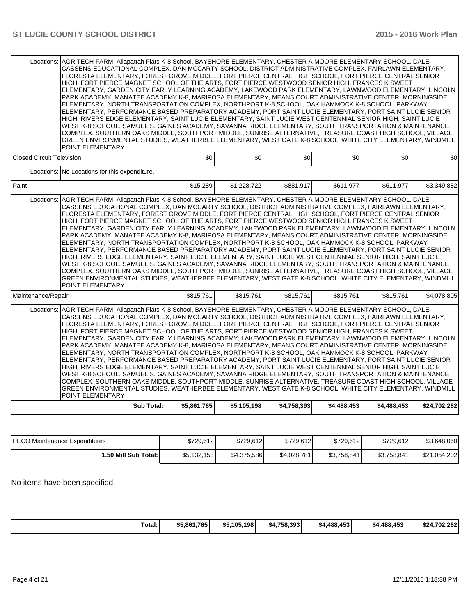|                                  | Locations: IAGRITECH FARM. Allapattah Flats K-8 School. BAYSHORE ELEMENTARY. CHESTER A MOORE ELEMENTARY SCHOOL. DALE<br>CASSENS EDUCATIONAL COMPLEX, DAN MCCARTY SCHOOL, DISTRICT ADMINISTRATIVE COMPLEX, FAIRLAWN ELEMENTARY,<br>FLORESTA ELEMENTARY. FOREST GROVE MIDDLE. FORT PIERCE CENTRAL HIGH SCHOOL. FORT PIERCE CENTRAL SENIOR<br>HIGH, FORT PIERCE MAGNET SCHOOL OF THE ARTS, FORT PIERCE WESTWOOD SENIOR HIGH, FRANCES K SWEET<br>ELEMENTARY, GARDEN CITY EARLY LEARNING ACADEMY, LAKEWOOD PARK ELEMENTARY, LAWNWOOD ELEMENTARY, LINCOLN<br>PARK ACADEMY, MANATEE ACADEMY K-8, MARIPOSA ELEMENTARY, MEANS COURT ADMINISTRATIVE CENTER, MORNINGSIDE<br>ELEMENTARY, NORTH TRANSPORTATION COMPLEX, NORTHPORT K-8 SCHOOL, OAK HAMMOCK K-8 SCHOOL, PARKWAY<br>ELEMENTARY, PERFORMANCE BASED PREPARATORY ACADEMY, PORT SAINT LUCIE ELEMENTARY, PORT SAINT LUCIE SENIOR<br>HIGH, RIVERS EDGE ELEMENTARY, SAINT LUCIE ELEMENTARY, SAINT LUCIE WEST CENTENNIAL SENIOR HIGH, SAINT LUCIE<br>WEST K-8 SCHOOL, SAMUEL S. GAINES ACADEMY, SAVANNA RIDGE ELEMENTARY, SOUTH TRANSPORTATION & MAINTENANCE<br>COMPLEX, SOUTHERN OAKS MIDDLE, SOUTHPORT MIDDLE, SUNRISE ALTERNATIVE, TREASURE COAST HIGH SCHOOL, VILLAGE<br>GREEN ENVIRONMENTAL STUDIES, WEATHERBEE ELEMENTARY, WEST GATE K-8 SCHOOL, WHITE CITY ELEMENTARY, WINDMILL<br>POINT ELEMENTARY |             |             |             |             |             |              |
|----------------------------------|----------------------------------------------------------------------------------------------------------------------------------------------------------------------------------------------------------------------------------------------------------------------------------------------------------------------------------------------------------------------------------------------------------------------------------------------------------------------------------------------------------------------------------------------------------------------------------------------------------------------------------------------------------------------------------------------------------------------------------------------------------------------------------------------------------------------------------------------------------------------------------------------------------------------------------------------------------------------------------------------------------------------------------------------------------------------------------------------------------------------------------------------------------------------------------------------------------------------------------------------------------------------------------------------------------------------------------------------------|-------------|-------------|-------------|-------------|-------------|--------------|
| <b>Closed Circuit Television</b> |                                                                                                                                                                                                                                                                                                                                                                                                                                                                                                                                                                                                                                                                                                                                                                                                                                                                                                                                                                                                                                                                                                                                                                                                                                                                                                                                                    | \$0         | \$0         | \$0         | \$0         | \$0         | \$0          |
|                                  | Locations: No Locations for this expenditure.                                                                                                                                                                                                                                                                                                                                                                                                                                                                                                                                                                                                                                                                                                                                                                                                                                                                                                                                                                                                                                                                                                                                                                                                                                                                                                      |             |             |             |             |             |              |
| Paint                            |                                                                                                                                                                                                                                                                                                                                                                                                                                                                                                                                                                                                                                                                                                                                                                                                                                                                                                                                                                                                                                                                                                                                                                                                                                                                                                                                                    | \$15,289    | \$1,228,722 | \$881,917   | \$611,977   | \$611,977   | \$3,349,882  |
|                                  | Locations: AGRITECH FARM, Allapattah Flats K-8 School, BAYSHORE ELEMENTARY, CHESTER A MOORE ELEMENTARY SCHOOL, DALE<br>CASSENS EDUCATIONAL COMPLEX. DAN MCCARTY SCHOOL. DISTRICT ADMINISTRATIVE COMPLEX. FAIRLAWN ELEMENTARY.<br>FLORESTA ELEMENTARY. FOREST GROVE MIDDLE. FORT PIERCE CENTRAL HIGH SCHOOL. FORT PIERCE CENTRAL SENIOR<br>HIGH, FORT PIERCE MAGNET SCHOOL OF THE ARTS, FORT PIERCE WESTWOOD SENIOR HIGH, FRANCES K SWEET<br>ELEMENTARY, GARDEN CITY EARLY LEARNING ACADEMY, LAKEWOOD PARK ELEMENTARY, LAWNWOOD ELEMENTARY, LINCOLN<br>PARK ACADEMY, MANATEE ACADEMY K-8, MARIPOSA ELEMENTARY, MEANS COURT ADMINISTRATIVE CENTER, MORNINGSIDE<br>ELEMENTARY, NORTH TRANSPORTATION COMPLEX, NORTHPORT K-8 SCHOOL, OAK HAMMOCK K-8 SCHOOL, PARKWAY<br>ELEMENTARY, PERFORMANCE BASED PREPARATORY ACADEMY, PORT SAINT LUCIE ELEMENTARY, PORT SAINT LUCIE SENIOR<br>HIGH. RIVERS EDGE ELEMENTARY. SAINT LUCIE ELEMENTARY. SAINT LUCIE WEST CENTENNIAL SENIOR HIGH. SAINT LUCIE<br>WEST K-8 SCHOOL, SAMUEL S. GAINES ACADEMY, SAVANNA RIDGE ELEMENTARY, SOUTH TRANSPORTATION & MAINTENANCE<br>COMPLEX, SOUTHERN OAKS MIDDLE, SOUTHPORT MIDDLE, SUNRISE ALTERNATIVE, TREASURE COAST HIGH SCHOOL, VILLAGE<br>GREEN ENVIRONMENTAL STUDIES, WEATHERBEE ELEMENTARY, WEST GATE K-8 SCHOOL, WHITE CITY ELEMENTARY, WINDMILL<br>POINT ELEMENTARY  |             |             |             |             |             |              |
| Maintenance/Repair               |                                                                                                                                                                                                                                                                                                                                                                                                                                                                                                                                                                                                                                                                                                                                                                                                                                                                                                                                                                                                                                                                                                                                                                                                                                                                                                                                                    | \$815,761   | \$815.761   | \$815,761   | \$815,761   | \$815.761   | \$4,078,805  |
|                                  | Locations: AGRITECH FARM, Allapattah Flats K-8 School, BAYSHORE ELEMENTARY, CHESTER A MOORE ELEMENTARY SCHOOL, DALE<br>CASSENS EDUCATIONAL COMPLEX, DAN MCCARTY SCHOOL, DISTRICT ADMINISTRATIVE COMPLEX, FAIRLAWN ELEMENTARY,<br>FLORESTA ELEMENTARY, FOREST GROVE MIDDLE, FORT PIERCE CENTRAL HIGH SCHOOL, FORT PIERCE CENTRAL SENIOR<br>HIGH. FORT PIERCE MAGNET SCHOOL OF THE ARTS. FORT PIERCE WESTWOOD SENIOR HIGH. FRANCES K SWEET<br>ELEMENTARY, GARDEN CITY EARLY LEARNING ACADEMY, LAKEWOOD PARK ELEMENTARY, LAWNWOOD ELEMENTARY, LINCOLN<br>PARK ACADEMY, MANATEE ACADEMY K-8, MARIPOSA ELEMENTARY, MEANS COURT ADMINISTRATIVE CENTER, MORNINGSIDE<br>ELEMENTARY, NORTH TRANSPORTATION COMPLEX, NORTHPORT K-8 SCHOOL, OAK HAMMOCK K-8 SCHOOL, PARKWAY<br>ELEMENTARY, PERFORMANCE BASED PREPARATORY ACADEMY, PORT SAINT LUCIE ELEMENTARY, PORT SAINT LUCIE SENIOR<br>HIGH, RIVERS EDGE ELEMENTARY, SAINT LUCIE ELEMENTARY, SAINT LUCIE WEST CENTENNIAL SENIOR HIGH, SAINT LUCIE<br>WEST K-8 SCHOOL, SAMUEL S. GAINES ACADEMY, SAVANNA RIDGE ELEMENTARY, SOUTH TRANSPORTATION & MAINTENANCE<br>COMPLEX, SOUTHERN OAKS MIDDLE, SOUTHPORT MIDDLE, SUNRISE ALTERNATIVE, TREASURE COAST HIGH SCHOOL, VILLAGE<br>GREEN ENVIRONMENTAL STUDIES, WEATHERBEE ELEMENTARY, WEST GATE K-8 SCHOOL, WHITE CITY ELEMENTARY, WINDMILL<br>POINT ELEMENTARY  |             |             |             |             |             |              |
|                                  | <b>Sub Total:</b>                                                                                                                                                                                                                                                                                                                                                                                                                                                                                                                                                                                                                                                                                                                                                                                                                                                                                                                                                                                                                                                                                                                                                                                                                                                                                                                                  | \$5,861,765 | \$5,105,198 | \$4,758,393 | \$4,488,453 | \$4,488,453 | \$24,702,262 |

| <b>IPECO Maintenance Expenditures</b> | \$729.612   | \$729.612   | \$729,612   | \$729,612   | \$729.612   | \$3,648,060  |
|---------------------------------------|-------------|-------------|-------------|-------------|-------------|--------------|
| 1.50 Mill Sub Total: I                | \$5,132,153 | \$4,375,586 | \$4,028,781 | \$3,758,841 | \$3,758,841 | \$21,054,202 |

No items have been specified.

| . | Total: | \$5,861,765 | \$5,105,198 | \$4.758.393 | \$4,488,453 | \$4,488,453 | \$24,702,262 |
|---|--------|-------------|-------------|-------------|-------------|-------------|--------------|
|---|--------|-------------|-------------|-------------|-------------|-------------|--------------|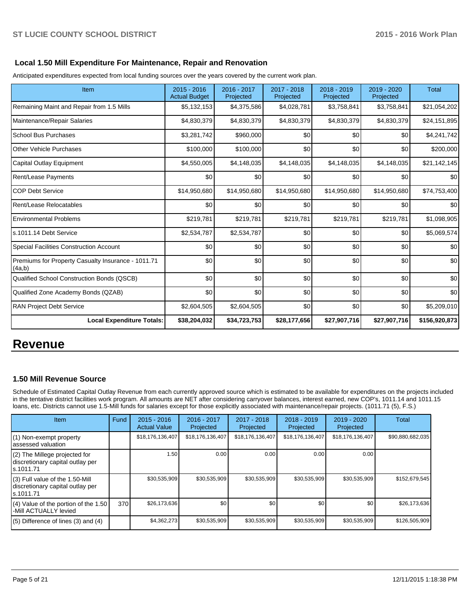### **Local 1.50 Mill Expenditure For Maintenance, Repair and Renovation**

Anticipated expenditures expected from local funding sources over the years covered by the current work plan.

| Item                                                         | $2015 - 2016$<br><b>Actual Budget</b> | 2016 - 2017<br>Projected | 2017 - 2018<br>Projected | $2018 - 2019$<br>Projected | 2019 - 2020<br>Projected | <b>Total</b>  |
|--------------------------------------------------------------|---------------------------------------|--------------------------|--------------------------|----------------------------|--------------------------|---------------|
| Remaining Maint and Repair from 1.5 Mills                    | \$5,132,153                           | \$4,375,586              | \$4,028,781              | \$3,758,841                | \$3,758,841              | \$21,054,202  |
| Maintenance/Repair Salaries                                  | \$4,830,379                           | \$4,830,379              | \$4,830,379              | \$4,830,379                | \$4,830,379              | \$24,151,895  |
| School Bus Purchases                                         | \$3,281,742                           | \$960,000                | \$0                      | \$0                        | \$0                      | \$4,241,742   |
| Other Vehicle Purchases                                      | \$100,000                             | \$100,000                | \$0                      | \$0                        | \$0                      | \$200,000     |
| Capital Outlay Equipment                                     | \$4,550,005                           | \$4,148,035              | \$4,148,035              | \$4,148,035                | \$4,148,035              | \$21,142,145  |
| <b>Rent/Lease Payments</b>                                   | \$0                                   | \$0                      | \$0                      | \$0                        | \$0                      | \$0           |
| <b>COP Debt Service</b>                                      | \$14,950,680                          | \$14,950,680             | \$14,950,680             | \$14,950,680               | \$14,950,680             | \$74,753,400  |
| Rent/Lease Relocatables                                      | \$0                                   | \$0                      | \$0                      | \$0                        | \$0                      | \$0           |
| <b>Environmental Problems</b>                                | \$219,781                             | \$219,781                | \$219,781                | \$219,781                  | \$219,781                | \$1,098,905   |
| s.1011.14 Debt Service                                       | \$2,534,787                           | \$2,534,787              | \$0                      | \$0                        | \$0                      | \$5,069,574   |
| <b>Special Facilities Construction Account</b>               | \$0                                   | \$0                      | \$0                      | \$0                        | \$0                      | \$0           |
| Premiums for Property Casualty Insurance - 1011.71<br>(4a,b) | \$0                                   | \$0                      | \$0                      | \$0                        | \$0                      | \$0           |
| Qualified School Construction Bonds (QSCB)                   | $\Omega$                              | \$0                      | \$0                      | \$0                        | \$0                      | \$0           |
| Qualified Zone Academy Bonds (QZAB)                          | \$0                                   | \$0                      | \$0                      | \$0                        | \$0                      | \$0           |
| <b>RAN Project Debt Service</b>                              | \$2,604,505                           | \$2,604,505              | \$0                      | \$0                        | \$0                      | \$5,209,010   |
| <b>Local Expenditure Totals:</b>                             | \$38,204,032                          | \$34,723,753             | \$28,177,656             | \$27,907,716               | \$27,907,716             | \$156,920,873 |

# **Revenue**

## **1.50 Mill Revenue Source**

Schedule of Estimated Capital Outlay Revenue from each currently approved source which is estimated to be available for expenditures on the projects included in the tentative district facilities work program. All amounts are NET after considering carryover balances, interest earned, new COP's, 1011.14 and 1011.15 loans, etc. Districts cannot use 1.5-Mill funds for salaries except for those explicitly associated with maintenance/repair projects. (1011.71 (5), F.S.)

| <b>Item</b>                                                                         | Fund | $2015 - 2016$<br><b>Actual Value</b> | 2016 - 2017<br>Projected | $2017 - 2018$<br>Projected | $2018 - 2019$<br>Projected | $2019 - 2020$<br>Projected | Total            |
|-------------------------------------------------------------------------------------|------|--------------------------------------|--------------------------|----------------------------|----------------------------|----------------------------|------------------|
| (1) Non-exempt property<br>lassessed valuation                                      |      | \$18,176,136,407                     | \$18,176,136,407         | \$18,176,136,407           | \$18,176,136,407           | \$18,176,136,407           | \$90,880,682,035 |
| (2) The Millege projected for<br>discretionary capital outlay per<br>ls.1011.71     |      | 1.50                                 | 0.00                     | 0.00                       | 0.00                       | 0.00                       |                  |
| $(3)$ Full value of the 1.50-Mill<br>discretionary capital outlay per<br>ls.1011.71 |      | \$30,535,909                         | \$30,535,909             | \$30,535,909               | \$30,535,909               | \$30,535,909               | \$152,679,545    |
| (4) Value of the portion of the 1.50<br>-Mill ACTUALLY levied                       | 370  | \$26,173,636                         | \$0                      | \$0                        | \$0                        | \$0                        | \$26,173,636     |
| $(5)$ Difference of lines $(3)$ and $(4)$                                           |      | \$4,362,273                          | \$30,535,909             | \$30,535,909               | \$30,535,909               | \$30,535,909               | \$126,505,909    |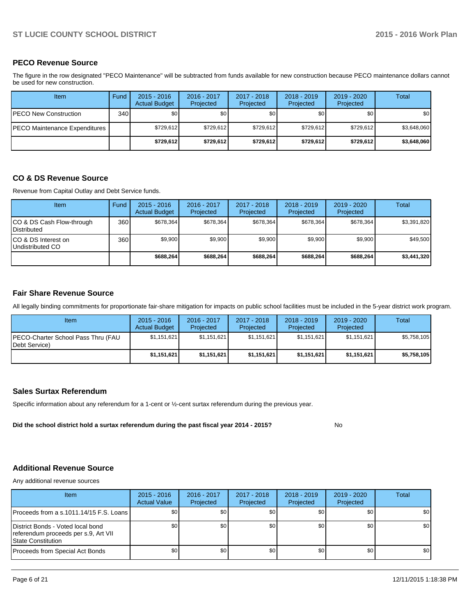### **PECO Revenue Source**

The figure in the row designated "PECO Maintenance" will be subtracted from funds available for new construction because PECO maintenance dollars cannot be used for new construction.

| Item                          | Fund | $2015 - 2016$<br><b>Actual Budget</b> | 2016 - 2017<br>Projected | 2017 - 2018<br>Projected | $2018 - 2019$<br>Projected | $2019 - 2020$<br>Projected | Total       |
|-------------------------------|------|---------------------------------------|--------------------------|--------------------------|----------------------------|----------------------------|-------------|
| IPECO New Construction        | 340  | \$0                                   | \$0 <sub>1</sub>         | \$0                      | \$0                        | \$0                        | \$0         |
| PECO Maintenance Expenditures |      | \$729.612                             | \$729.612                | \$729.612                | \$729.612                  | \$729.612                  | \$3,648,060 |
|                               |      | \$729.612                             | \$729,612                | \$729.612                | \$729.612                  | \$729.612                  | \$3,648,060 |

## **CO & DS Revenue Source**

Revenue from Capital Outlay and Debt Service funds.

| Item                                            | Fund | $2015 - 2016$<br><b>Actual Budget</b> | $2016 - 2017$<br>Projected | $2017 - 2018$<br>Projected | $2018 - 2019$<br>Projected | $2019 - 2020$<br>Projected | Total       |
|-------------------------------------------------|------|---------------------------------------|----------------------------|----------------------------|----------------------------|----------------------------|-------------|
| CO & DS Cash Flow-through<br><b>Distributed</b> | 360  | \$678.364                             | \$678.364                  | \$678,364                  | \$678.364                  | \$678.364                  | \$3,391,820 |
| CO & DS Interest on<br>Undistributed CO         | 360  | \$9,900                               | \$9,900                    | \$9,900                    | \$9,900                    | \$9,900                    | \$49,500    |
|                                                 |      | \$688.264                             | \$688.264                  | \$688,264                  | \$688,264                  | \$688,264                  | \$3,441,320 |

#### **Fair Share Revenue Source**

All legally binding commitments for proportionate fair-share mitigation for impacts on public school facilities must be included in the 5-year district work program.

| Item                                                | $2015 - 2016$<br><b>Actual Budget</b> | 2016 - 2017<br>Projected | 2017 - 2018<br>Projected | $2018 - 2019$<br>Projected | 2019 - 2020<br>Projected | Total       |
|-----------------------------------------------------|---------------------------------------|--------------------------|--------------------------|----------------------------|--------------------------|-------------|
| PECO-Charter School Pass Thru (FAU<br>Debt Service) | \$1,151,621                           | \$1,151,621              | \$1,151,621              | \$1,151,621                | \$1,151,621              | \$5,758,105 |
|                                                     | \$1,151,621                           | \$1,151,621              | \$1,151,621              | \$1,151,621                | \$1,151,621              | \$5,758,105 |

#### **Sales Surtax Referendum**

Specific information about any referendum for a 1-cent or ½-cent surtax referendum during the previous year.

**Did the school district hold a surtax referendum during the past fiscal year 2014 - 2015?**

No

#### **Additional Revenue Source**

Any additional revenue sources

| Item                                                                                              | $2015 - 2016$<br><b>Actual Value</b> | 2016 - 2017<br>Projected | $2017 - 2018$<br>Projected | $2018 - 2019$<br>Projected | $2019 - 2020$<br>Projected | Total            |
|---------------------------------------------------------------------------------------------------|--------------------------------------|--------------------------|----------------------------|----------------------------|----------------------------|------------------|
| Proceeds from a s.1011.14/15 F.S. Loans I                                                         | \$0 <sub>1</sub>                     | \$0                      | \$0                        | \$0                        | \$0                        | \$0 <sub>1</sub> |
| District Bonds - Voted local bond<br>referendum proceeds per s.9, Art VII<br>l State Constitution | \$0 <sub>1</sub>                     | \$0                      | \$0                        | \$0 <sub>1</sub>           | \$0                        | \$0 <sub>1</sub> |
| Proceeds from Special Act Bonds                                                                   | \$0                                  | \$0 <sub>1</sub>         | \$0                        | \$0 <sub>0</sub>           | \$0                        | \$0 <sub>1</sub> |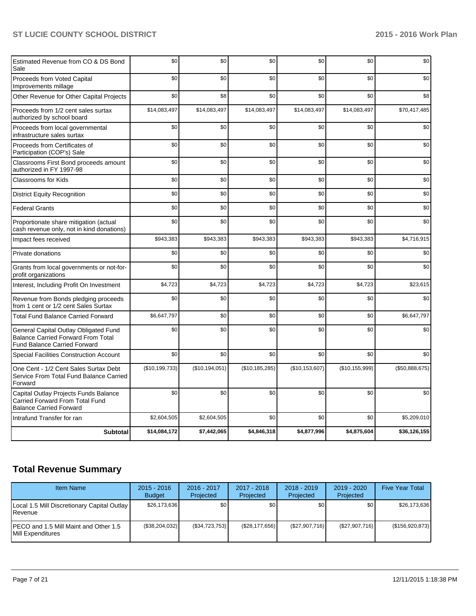| Estimated Revenue from CO & DS Bond<br>Sale                                                                               | \$0              | \$0              | \$0              | \$0              | \$0              | \$0            |
|---------------------------------------------------------------------------------------------------------------------------|------------------|------------------|------------------|------------------|------------------|----------------|
| Proceeds from Voted Capital<br>Improvements millage                                                                       | \$0              | \$0              | \$0              | \$0              | \$0              | \$0            |
| Other Revenue for Other Capital Projects                                                                                  | \$0              | \$8              | \$0              | \$0              | \$0              | \$8            |
| Proceeds from 1/2 cent sales surtax<br>authorized by school board                                                         | \$14,083,497     | \$14,083,497     | \$14,083,497     | \$14,083,497     | \$14,083,497     | \$70,417,485   |
| Proceeds from local governmental<br>infrastructure sales surtax                                                           | \$0              | \$0              | \$0              | \$0              | \$0              | \$0            |
| Proceeds from Certificates of<br>Participation (COP's) Sale                                                               | \$0              | \$0              | \$0              | \$0              | \$0              | \$0            |
| Classrooms First Bond proceeds amount<br>authorized in FY 1997-98                                                         | \$0              | \$0              | \$0              | \$0              | \$0              | \$0            |
| <b>Classrooms for Kids</b>                                                                                                | \$0              | \$0              | \$0              | \$0              | \$0              | \$0            |
| <b>District Equity Recognition</b>                                                                                        | \$0              | \$0              | \$0              | \$0              | \$0              | \$0            |
| <b>Federal Grants</b>                                                                                                     | \$0              | \$0              | \$0              | \$0              | \$0              | \$0            |
| Proportionate share mitigation (actual<br>cash revenue only, not in kind donations)                                       | \$0              | \$0              | \$0              | \$0              | \$0              | \$0            |
| Impact fees received                                                                                                      | \$943,383        | \$943,383        | \$943,383        | \$943,383        | \$943,383        | \$4,716,915    |
| Private donations                                                                                                         | \$0              | \$0              | \$0              | \$0              | \$0              | \$0            |
| Grants from local governments or not-for-<br>profit organizations                                                         | \$0              | \$0              | \$0              | \$0              | \$0              | \$0            |
| Interest, Including Profit On Investment                                                                                  | \$4,723          | \$4,723          | \$4,723          | \$4,723          | \$4,723          | \$23,615       |
| Revenue from Bonds pledging proceeds<br>from 1 cent or 1/2 cent Sales Surtax                                              | \$0              | \$0              | \$0              | \$0              | \$0              | \$0            |
| <b>Total Fund Balance Carried Forward</b>                                                                                 | \$6,647,797      | \$0              | \$0              | \$0              | \$0              | \$6,647,797    |
| General Capital Outlay Obligated Fund<br><b>Balance Carried Forward From Total</b><br><b>Fund Balance Carried Forward</b> | \$0              | \$0              | \$0              | \$0              | \$0              | \$0            |
| <b>Special Facilities Construction Account</b>                                                                            | \$0              | \$0              | \$0              | \$0              | \$0              | \$0            |
| One Cent - 1/2 Cent Sales Surtax Debt<br>Service From Total Fund Balance Carried<br>Forward                               | (\$10, 199, 733) | (\$10, 194, 051) | (\$10, 185, 285) | (\$10, 153, 607) | (\$10, 155, 999) | (\$50,888,675) |
| Capital Outlay Projects Funds Balance<br>Carried Forward From Total Fund<br><b>Balance Carried Forward</b>                | \$0              | \$0              | \$0              | \$0              | \$0              | \$0            |
| Intrafund Transfer for ran                                                                                                | \$2,604,505      | \$2,604,505      | \$0              | \$0              | \$0              | \$5,209,010    |
| <b>Subtotal</b>                                                                                                           | \$14,084,172     | \$7,442,065      | \$4,846,318      | \$4,877,996      | \$4,875,604      | \$36,126,155   |

# **Total Revenue Summary**

| <b>Item Name</b>                                                    | $2015 - 2016$<br><b>Budget</b> | $2016 - 2017$<br>Projected | $2017 - 2018$<br>Projected | $2018 - 2019$<br>Projected | $2019 - 2020$<br>Projected | <b>Five Year Total</b> |
|---------------------------------------------------------------------|--------------------------------|----------------------------|----------------------------|----------------------------|----------------------------|------------------------|
| Local 1.5 Mill Discretionary Capital Outlay  <br><b>I</b> Revenue   | \$26,173,636                   | \$0                        | \$0                        | \$0                        | \$0                        | \$26,173,636           |
| IPECO and 1.5 Mill Maint and Other 1.5<br><b>IMill Expenditures</b> | (\$38,204,032)                 | (\$34,723,753)             | (\$28,177,656)             | (\$27,907,716)             | (\$27,907,716)             | (\$156,920,873)        |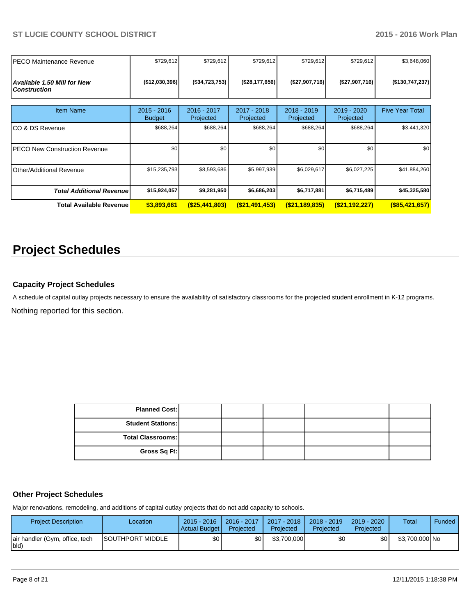| IPECO Maintenance Revenue                          | \$729,612                      | \$729,612                | \$729,612                | \$729,612                  | \$729,612                | \$3,648,060            |
|----------------------------------------------------|--------------------------------|--------------------------|--------------------------|----------------------------|--------------------------|------------------------|
| Available 1.50 Mill for New<br><b>Construction</b> | (\$12,030,396)                 | ( \$34, 723, 753]        | (\$28,177,656)           | (\$27,907,716)             | (\$27,907,716)           | ( \$130, 747, 237)     |
| <b>Item Name</b>                                   | $2015 - 2016$<br><b>Budget</b> | 2016 - 2017<br>Projected | 2017 - 2018<br>Projected | $2018 - 2019$<br>Projected | 2019 - 2020<br>Projected | <b>Five Year Total</b> |
| ICO & DS Revenue                                   | \$688,264                      | \$688,264                | \$688,264                | \$688,264                  | \$688,264                | \$3,441,320            |
| IPECO New Construction Revenue                     | \$0                            | \$0                      | \$0                      | \$0                        | \$0                      | \$0                    |
| Other/Additional Revenue                           | \$15,235,793                   | \$8,593,686              | \$5,997,939              | \$6,029,617                | \$6,027,225              | \$41,884,260           |
| <b>Total Additional Revenuel</b>                   | \$15,924,057                   | \$9,281,950              | \$6,686,203              | \$6,717,881                | \$6,715,489              | \$45,325,580           |
| Total Available Revenue                            | \$3,893,661                    | $($ \$25,441,803)        | (S21, 491, 453)          | $($ \$21,189,835)          | $($ \$21,192,227)        | $($ \$85,421,657)      |

# **Project Schedules**

## **Capacity Project Schedules**

A schedule of capital outlay projects necessary to ensure the availability of satisfactory classrooms for the projected student enrollment in K-12 programs.

Nothing reported for this section.

| <b>Planned Cost:</b>     |  |  |  |
|--------------------------|--|--|--|
| <b>Student Stations:</b> |  |  |  |
| Total Classrooms:        |  |  |  |
| Gross Sq Ft:             |  |  |  |

### **Other Project Schedules**

Major renovations, remodeling, and additions of capital outlay projects that do not add capacity to schools.

| <b>Project Description</b>             | Location                 | $2015 - 2016$<br>Actual Budget | 2016 - 2017<br>Projected | 2017 - 2018  <br>Projected | 2018 - 2019<br>Projected | $2019 - 2020$<br>Projected | Total          | <b>Funded</b> |
|----------------------------------------|--------------------------|--------------------------------|--------------------------|----------------------------|--------------------------|----------------------------|----------------|---------------|
| air handler (Gym, office, tech<br>bld) | <b>ISOUTHPORT MIDDLE</b> | \$0                            | ا30                      | \$3,700,000                | ا 30                     | \$0 I                      | \$3,700,000 No |               |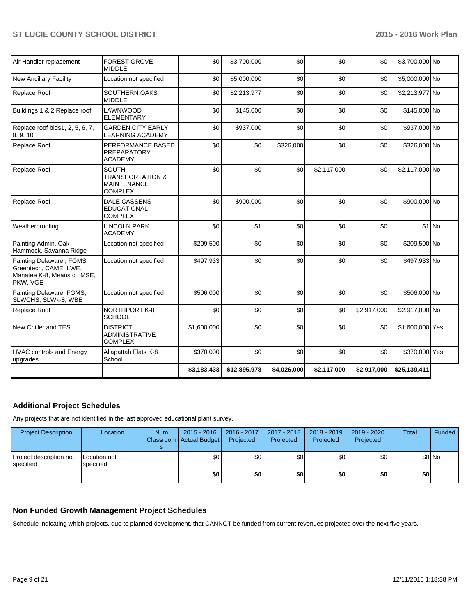| Air Handler replacement                                                                       | <b>FOREST GROVE</b><br><b>MIDDLE</b>                                                | \$0         | \$3,700,000  | \$0         | \$0         | \$0         | \$3,700,000 No  |         |
|-----------------------------------------------------------------------------------------------|-------------------------------------------------------------------------------------|-------------|--------------|-------------|-------------|-------------|-----------------|---------|
| <b>New Ancillary Facility</b>                                                                 | Location not specified                                                              | \$0         | \$5,000,000  | \$0         | \$0         | \$0         | \$5,000,000 No  |         |
| Replace Roof                                                                                  | <b>SOUTHERN OAKS</b><br><b>MIDDLE</b>                                               | \$0         | \$2,213,977  | \$0         | \$0         | \$0         | \$2,213,977 No  |         |
| Buildings 1 & 2 Replace roof                                                                  | LAWNWOOD<br><b>ELEMENTARY</b>                                                       | \$0         | \$145,000    | \$0         | \$0         | \$0         | \$145,000 No    |         |
| Replace roof blds1, 2, 5, 6, 7,<br>8, 9, 10                                                   | <b>GARDEN CITY EARLY</b><br><b>LEARNING ACADEMY</b>                                 | \$0         | \$937,000    | \$0         | \$0         | \$0         | \$937,000 No    |         |
| Replace Roof                                                                                  | PERFORMANCE BASED<br><b>PREPARATORY</b><br><b>ACADEMY</b>                           | \$0         | \$0          | \$326,000   | \$0         | \$0         | \$326,000 No    |         |
| Replace Roof                                                                                  | <b>SOUTH</b><br><b>TRANSPORTATION &amp;</b><br><b>MAINTENANCE</b><br><b>COMPLEX</b> | \$0         | \$0          | \$0         | \$2,117,000 | \$0         | \$2,117,000 No  |         |
| Replace Roof                                                                                  | <b>DALE CASSENS</b><br><b>EDUCATIONAL</b><br><b>COMPLEX</b>                         | \$0         | \$900,000    | \$0         | \$0         | \$0         | \$900,000 No    |         |
| Weatherproofing                                                                               | <b>LINCOLN PARK</b><br><b>ACADEMY</b>                                               | \$0         | \$1          | \$0         | \$0         | \$0         |                 | $$1$ No |
| Painting Admin, Oak<br>Hammock, Savanna Ridge                                                 | Location not specified                                                              | \$209,500   | \$0          | \$0         | \$0         | \$0         | \$209,500 No    |         |
| Painting Delaware,, FGMS,<br>Greentech, CAME, LWE,<br>Manatee K-8, Means ct. MSE,<br>PKW, VGE | Location not specified                                                              | \$497,933   | \$0          | \$0         | \$0         | \$0         | \$497,933 No    |         |
| Painting Delaware, FGMS,<br>SLWCHS, SLWk-8, WBE                                               | Location not specified                                                              | \$506,000   | \$0          | \$0         | \$0         | \$0         | \$506,000 No    |         |
| Replace Roof                                                                                  | <b>NORTHPORT K-8</b><br>SCHOOL                                                      | \$0         | \$0          | \$0         | \$0         | \$2,917,000 | \$2,917,000 No  |         |
| New Chiller and TES                                                                           | <b>DISTRICT</b><br><b>ADMINISTRATIVE</b><br><b>COMPLEX</b>                          | \$1,600,000 | \$0          | \$0         | \$0         | \$0         | \$1,600,000 Yes |         |
| <b>HVAC controls and Energy</b><br>upgrades                                                   | Allapattah Flats K-8<br>School                                                      | \$370,000   | \$0          | \$0         | \$0         | \$0         | \$370,000 Yes   |         |
|                                                                                               |                                                                                     | \$3,183,433 | \$12,895,978 | \$4,026,000 | \$2,117,000 | \$2,917,000 | \$25,139,411    |         |

## **Additional Project Schedules**

Any projects that are not identified in the last approved educational plant survey.

| <b>Project Description</b>                    | Location                  | <b>Num</b> | $2015 - 2016$<br>Classroom   Actual Budget | 2016 - 2017<br>Projected | 2017 - 2018<br>Projected | 2018 - 2019<br>Projected | 2019 - 2020<br>Projected | <b>Total</b>     | Funded |
|-----------------------------------------------|---------------------------|------------|--------------------------------------------|--------------------------|--------------------------|--------------------------|--------------------------|------------------|--------|
| Project description not<br><b>I</b> specified | Location not<br>specified |            | \$0                                        | ا80                      | \$0                      | \$0 I                    | \$0                      |                  | \$0 No |
|                                               |                           |            | \$0                                        | \$0                      | \$0                      | \$0 I                    | \$0                      | \$0 <sub>1</sub> |        |

## **Non Funded Growth Management Project Schedules**

Schedule indicating which projects, due to planned development, that CANNOT be funded from current revenues projected over the next five years.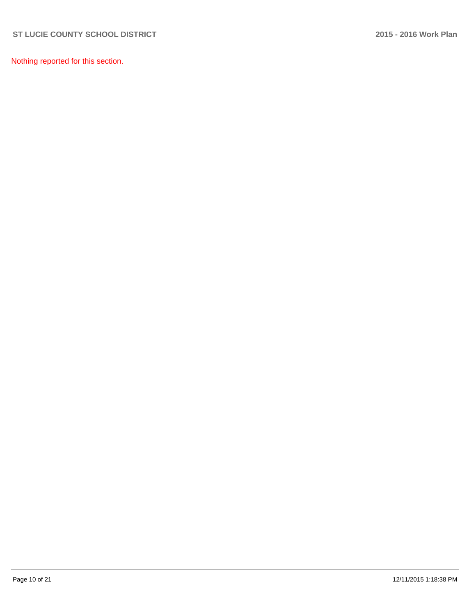Nothing reported for this section.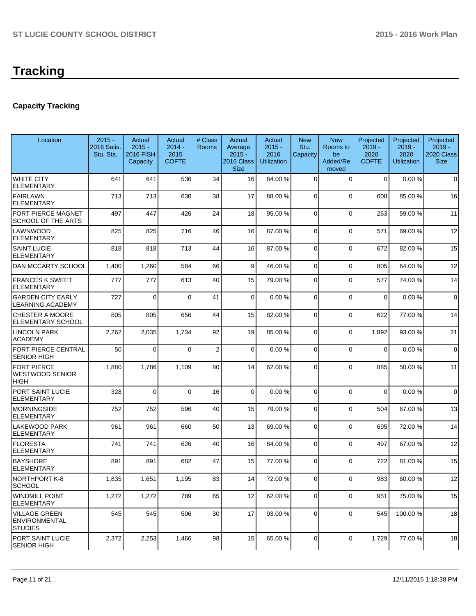# **Capacity Tracking**

| Location                                                       | $2015 -$<br>2016 Satis.<br>Stu. Sta. | Actual<br>$2015 -$<br>2016 FISH<br>Capacity | Actual<br>$2014 -$<br>2015<br><b>COFTE</b> | # Class<br>Rooms | Actual<br>Average<br>$2015 -$<br>2016 Class<br><b>Size</b> | Actual<br>$2015 -$<br>2016<br><b>Utilization</b> | <b>New</b><br>Stu.<br>Capacity | <b>New</b><br>Rooms to<br>be<br>Added/Re<br>moved | Projected<br>$2019 -$<br>2020<br><b>COFTE</b> | Projected<br>$2019 -$<br>2020<br><b>Utilization</b> | Projected<br>$2019 -$<br>2020 Class<br><b>Size</b> |
|----------------------------------------------------------------|--------------------------------------|---------------------------------------------|--------------------------------------------|------------------|------------------------------------------------------------|--------------------------------------------------|--------------------------------|---------------------------------------------------|-----------------------------------------------|-----------------------------------------------------|----------------------------------------------------|
| <b>WHITE CITY</b><br><b>ELEMENTARY</b>                         | 641                                  | 641                                         | 536                                        | 34               | 16                                                         | 84.00 %                                          | $\Omega$                       | $\Omega$                                          | 0                                             | 0.00%                                               | $\mathbf 0$                                        |
| <b>FAIRLAWN</b><br><b>ELEMENTARY</b>                           | 713                                  | 713                                         | 630                                        | 38               | 17                                                         | 88.00 %                                          | 0                              | $\Omega$                                          | 608                                           | 85.00 %                                             | 16                                                 |
| FORT PIERCE MAGNET<br>SCHOOL OF THE ARTS                       | 497                                  | 447                                         | 426                                        | 24               | 18                                                         | 95.00 %                                          | 0                              | $\Omega$                                          | 263                                           | 59.00 %                                             | 11                                                 |
| LAWNWOOD<br><b>ELEMENTARY</b>                                  | 825                                  | 825                                         | 716                                        | 46               | 16                                                         | 87.00 %                                          | 0                              | $\Omega$                                          | 571                                           | 69.00%                                              | 12                                                 |
| <b>SAINT LUCIE</b><br><b>ELEMENTARY</b>                        | 818                                  | 818                                         | 713                                        | 44               | 16                                                         | 87.00 %                                          | 0                              | $\Omega$                                          | 672                                           | 82.00%                                              | 15                                                 |
| <b>DAN MCCARTY SCHOOL</b>                                      | 1,400                                | 1,260                                       | 584                                        | 66               | $\vert 9 \vert$                                            | 46.00 %                                          | 0                              | $\Omega$                                          | 805                                           | 64.00%                                              | 12                                                 |
| <b>FRANCES K SWEET</b><br><b>ELEMENTARY</b>                    | 777                                  | 777                                         | 613                                        | 40               | 15                                                         | 79.00 %                                          | 0                              | $\Omega$                                          | 577                                           | 74.00 %                                             | 14                                                 |
| <b>GARDEN CITY EARLY</b><br><b>LEARNING ACADEMY</b>            | 727                                  | $\Omega$                                    | $\Omega$                                   | 41               | $\overline{0}$                                             | 0.00%                                            | 0                              | $\Omega$                                          | $\overline{0}$                                | 0.00%                                               | $\mathbf 0$                                        |
| <b>CHESTER A MOORE</b><br><b>ELEMENTARY SCHOOL</b>             | 805                                  | 805                                         | 656                                        | 44               | 15                                                         | 82.00 %                                          | 0                              | $\Omega$                                          | 622                                           | 77.00 %                                             | 14                                                 |
| <b>LINCOLN PARK</b><br><b>ACADEMY</b>                          | 2,262                                | 2,035                                       | 1,734                                      | 92               | 19                                                         | 85.00 %                                          | 0                              | $\Omega$                                          | 1,892                                         | 93.00 %                                             | 21                                                 |
| <b>FORT PIERCE CENTRAL</b><br><b>SENIOR HIGH</b>               | 50                                   | $\Omega$                                    | $\Omega$                                   | $\overline{2}$   | $\Omega$                                                   | 0.00%                                            | $\Omega$                       | $\Omega$                                          | $\Omega$                                      | 0.00%                                               | $\mathbf 0$                                        |
| <b>FORT PIERCE</b><br>WESTWOOD SENIOR<br>HIGH                  | 1,880                                | 1,786                                       | 1,109                                      | 80               | 14                                                         | 62.00 %                                          | $\Omega$                       | $\Omega$                                          | 885                                           | 50.00 %                                             | 11                                                 |
| PORT SAINT LUCIE<br><b>ELEMENTARY</b>                          | 328                                  | $\Omega$                                    | $\Omega$                                   | 16               | $\Omega$                                                   | 0.00%                                            | $\Omega$                       | $\Omega$                                          | $\Omega$                                      | 0.00%                                               | $\mathbf 0$                                        |
| <b>MORNINGSIDE</b><br><b>ELEMENTARY</b>                        | 752                                  | 752                                         | 596                                        | 40               | 15                                                         | 79.00 %                                          | 0                              | $\Omega$                                          | 504                                           | 67.00%                                              | 13                                                 |
| LAKEWOOD PARK<br><b>ELEMENTARY</b>                             | 961                                  | 961                                         | 660                                        | 50               | 13                                                         | 69.00 %                                          | $\Omega$                       | $\Omega$                                          | 695                                           | 72.00 %                                             | 14                                                 |
| <b>FLORESTA</b><br><b>ELEMENTARY</b>                           | 741                                  | 741                                         | 626                                        | 40               | 16                                                         | 84.00 %                                          | $\mathbf 0$                    | $\Omega$                                          | 497                                           | 67.00 %                                             | 12                                                 |
| <b>BAYSHORE</b><br><b>ELEMENTARY</b>                           | 891                                  | 891                                         | 682                                        | 47               | 15                                                         | 77.00 %                                          | $\Omega$                       | $\Omega$                                          | 722                                           | 81.00%                                              | 15                                                 |
| NORTHPORT K-8<br><b>SCHOOL</b>                                 | 1,835                                | 1,651                                       | 1,195                                      | 83               | 14                                                         | 72.00 %                                          | $\Omega$                       | $\Omega$                                          | 983                                           | 60.00 %                                             | 12                                                 |
| <b>WINDMILL POINT</b><br><b>ELEMENTARY</b>                     | 1,272                                | 1,272                                       | 789                                        | 65               | 12                                                         | 62.00 %                                          | 0                              | $\Omega$                                          | 951                                           | 75.00 %                                             | 15                                                 |
| <b>VILLAGE GREEN</b><br><b>ENVIRONMENTAL</b><br><b>STUDIES</b> | 545                                  | 545                                         | 506                                        | 30 <sup>2</sup>  | 17                                                         | 93.00 %                                          | $\overline{0}$                 | $\overline{0}$                                    | 545                                           | 100.00%                                             | 18                                                 |
| PORT SAINT LUCIE<br><b>SENIOR HIGH</b>                         | 2,372                                | 2,253                                       | 1,466                                      | 98               | 15                                                         | 65.00 %                                          | $\Omega$                       | $\Omega$                                          | 1,729                                         | 77.00 %                                             | 18                                                 |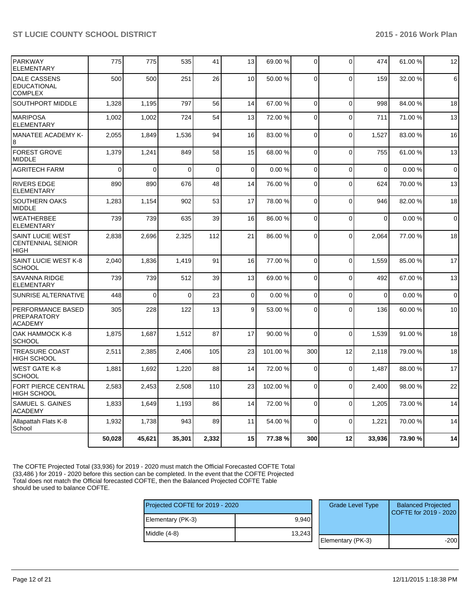| <b>PARKWAY</b><br><b>ELEMENTARY</b>                                | 775      | 775          | 535         | 41          | 13          | 69.00 %  | $\Omega$       | $\mathbf 0$    | 474         | 61.00%  | 12           |
|--------------------------------------------------------------------|----------|--------------|-------------|-------------|-------------|----------|----------------|----------------|-------------|---------|--------------|
| <b>DALE CASSENS</b><br><b>EDUCATIONAL</b><br><b>COMPLEX</b>        | 500      | 500          | 251         | 26          | 10          | 50.00 %  | 0              | $\Omega$       | 159         | 32.00 % | 6            |
| SOUTHPORT MIDDLE                                                   | 1,328    | 1.195        | 797         | 56          | 14          | 67.00 %  | $\Omega$       | $\Omega$       | 998         | 84.00%  | 18           |
| <b>MARIPOSA</b><br><b>ELEMENTARY</b>                               | 1,002    | 1,002        | 724         | 54          | 13          | 72.00 %  | $\Omega$       | $\Omega$       | 711         | 71.00 % | 13           |
| <b>MANATEE ACADEMY K-</b><br>8                                     | 2,055    | 1,849        | 1,536       | 94          | 16          | 83.00 %  | $\Omega$       | $\overline{0}$ | 1,527       | 83.00 % | 16           |
| <b>FOREST GROVE</b><br><b>MIDDLE</b>                               | 1,379    | 1,241        | 849         | 58          | 15          | 68.00 %  | $\Omega$       | $\Omega$       | 755         | 61.00%  | 13           |
| <b>AGRITECH FARM</b>                                               | $\Omega$ | $\mathbf{0}$ | $\Omega$    | $\mathbf 0$ | $\mathbf 0$ | 0.00%    | $\overline{0}$ | $\Omega$       | $\mathbf 0$ | 0.00%   | 0            |
| <b>RIVERS EDGE</b><br><b>ELEMENTARY</b>                            | 890      | 890          | 676         | 48          | 14          | 76.00 %  | $\mathbf 0$    | $\mathbf 0$    | 624         | 70.00%  | 13           |
| <b>SOUTHERN OAKS</b><br><b>MIDDLE</b>                              | 1,283    | 1,154        | 902         | 53          | 17          | 78.00 %  | $\overline{0}$ | $\mathbf 0$    | 946         | 82.00%  | 18           |
| <b>WEATHERBEE</b><br><b>ELEMENTARY</b>                             | 739      | 739          | 635         | 39          | 16          | 86.00 %  | $\Omega$       | $\Omega$       | $\Omega$    | 0.00%   | $\Omega$     |
| <b>SAINT LUCIE WEST</b><br><b>CENTENNIAL SENIOR</b><br><b>HIGH</b> | 2.838    | 2,696        | 2,325       | 112         | 21          | 86.00 %  | $\Omega$       | $\Omega$       | 2.064       | 77.00 % | 18           |
| SAINT LUCIE WEST K-8<br><b>SCHOOL</b>                              | 2,040    | 1,836        | 1,419       | 91          | 16          | 77.00 %  | $\Omega$       | $\Omega$       | 1,559       | 85.00%  | 17           |
| SAVANNA RIDGE<br><b>ELEMENTARY</b>                                 | 739      | 739          | 512         | 39          | 13          | 69.00 %  | $\overline{0}$ | $\mathbf 0$    | 492         | 67.00%  | 13           |
| SUNRISE ALTERNATIVE                                                | 448      | $\mathbf 0$  | $\mathbf 0$ | 23          | $\mathbf 0$ | 0.00%    | $\overline{0}$ | $\mathbf 0$    | $\mathbf 0$ | 0.00%   | $\mathbf{0}$ |
| <b>PERFORMANCE BASED</b><br>PREPARATORY<br><b>ACADEMY</b>          | 305      | 228          | 122         | 13          | 9           | 53.00 %  | $\Omega$       | $\Omega$       | 136         | 60.00%  | 10           |
| OAK HAMMOCK K-8<br><b>SCHOOL</b>                                   | 1,875    | 1,687        | 1,512       | 87          | 17          | 90.00 %  | $\Omega$       | $\Omega$       | 1,539       | 91.00%  | 18           |
| <b>TREASURE COAST</b><br><b>HIGH SCHOOL</b>                        | 2,511    | 2,385        | 2,406       | 105         | 23          | 101.00 % | 300            | 12             | 2,118       | 79.00 % | 18           |
| <b>WEST GATE K-8</b><br><b>SCHOOL</b>                              | 1,881    | 1,692        | 1,220       | 88          | 14          | 72.00 %  | $\mathbf 0$    | $\mathbf 0$    | 1,487       | 88.00 % | 17           |
| FORT PIERCE CENTRAL<br><b>HIGH SCHOOL</b>                          | 2,583    | 2,453        | 2,508       | 110         | 23          | 102.00 % | $\Omega$       | $\Omega$       | 2,400       | 98.00 % | 22           |
| SAMUEL S. GAINES<br><b>ACADEMY</b>                                 | 1,833    | 1,649        | 1,193       | 86          | 14          | 72.00 %  | $\Omega$       | $\Omega$       | 1,205       | 73.00 % | 14           |
| Allapattah Flats K-8<br>School                                     | 1,932    | 1,738        | 943         | 89          | 11          | 54.00 %  | $\Omega$       | $\Omega$       | 1,221       | 70.00 % | 14           |
|                                                                    | 50,028   | 45,621       | 35,301      | 2,332       | 15          | 77.38 %  | 300            | 12             | 33,936      | 73.90 % | 14           |

The COFTE Projected Total (33,936) for 2019 - 2020 must match the Official Forecasted COFTE Total (33,486 ) for 2019 - 2020 before this section can be completed. In the event that the COFTE Projected Total does not match the Official forecasted COFTE, then the Balanced Projected COFTE Table should be used to balance COFTE.

| Projected COFTE for 2019 - 2020 |        | <b>Grade Level Type</b> | <b>Balanced Projected</b><br>COFTE for 2019 - 2020 |
|---------------------------------|--------|-------------------------|----------------------------------------------------|
| Elementary (PK-3)               | 9.940  |                         |                                                    |
| Middle $(4-8)$                  | 13,243 |                         |                                                    |
|                                 |        | Elementary (PK-3)       | $-200$                                             |
|                                 |        |                         |                                                    |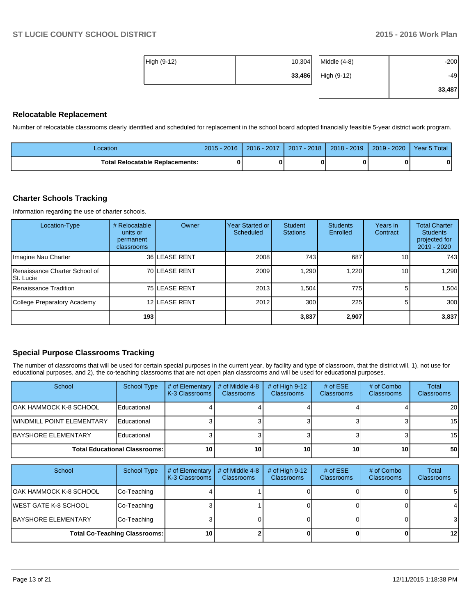| High (9-12) | 10,304 | Middle $(4-8)$ | $-200$ |
|-------------|--------|----------------|--------|
|             | 33,486 | High (9-12)    | $-49$  |
|             |        |                | 33,487 |

#### **Relocatable Replacement**

Number of relocatable classrooms clearly identified and scheduled for replacement in the school board adopted financially feasible 5-year district work program.

| Location                                 | $2015 - 2016$ | 2016 - 2017 | 2017 - 2018 | $2018 - 2019$ | 2019 - 2020 | Year 5 Total |
|------------------------------------------|---------------|-------------|-------------|---------------|-------------|--------------|
| <b>Total Relocatable Replacements: I</b> |               |             |             |               |             |              |

#### **Charter Schools Tracking**

Information regarding the use of charter schools.

| Location-Type                               | # Relocatable<br>units or<br>permanent<br>classrooms | Owner         | Year Started or I<br>Scheduled | Student<br><b>Stations</b> | <b>Students</b><br>Enrolled | Years in<br>Contract | <b>Total Charter</b><br><b>Students</b><br>projected for<br>2019 - 2020 |
|---------------------------------------------|------------------------------------------------------|---------------|--------------------------------|----------------------------|-----------------------------|----------------------|-------------------------------------------------------------------------|
| Imagine Nau Charter                         |                                                      | 36 LEASE RENT | 2008                           | 743                        | 687                         | 10 I                 | 743                                                                     |
| Renaissance Charter School of<br>ISt. Lucie |                                                      | 70 LEASE RENT | 2009                           | 1,290                      | 1,220                       | 10 <sup>1</sup>      | 1,290                                                                   |
| Renaissance Tradition                       |                                                      | 75 LEASE RENT | 2013                           | 1.504                      | 775 <b>1</b>                | 51                   | 1,504                                                                   |
| College Preparatory Academy                 |                                                      | 12 LEASE RENT | 2012                           | 300                        | 225                         | 5                    | 300                                                                     |
|                                             | 193 <sub>l</sub>                                     |               |                                | 3,837                      | 2,907                       |                      | 3,837                                                                   |

## **Special Purpose Classrooms Tracking**

The number of classrooms that will be used for certain special purposes in the current year, by facility and type of classroom, that the district will, 1), not use for educational purposes, and 2), the co-teaching classrooms that are not open plan classrooms and will be used for educational purposes.

| School                               | School Type | # of Elementary<br>K-3 Classrooms | # of Middle 4-8<br><b>Classrooms</b> | # of High $9-12$<br><b>Classrooms</b> | # of $ESE$<br>Classrooms | # of Combo<br><b>Classrooms</b> | Total<br><b>Classrooms</b> |
|--------------------------------------|-------------|-----------------------------------|--------------------------------------|---------------------------------------|--------------------------|---------------------------------|----------------------------|
| IOAK HAMMOCK K-8 SCHOOL              | Educational |                                   |                                      |                                       |                          |                                 | <b>20</b>                  |
| <b>IWINDMILL POINT ELEMENTARY</b>    | Educational |                                   |                                      |                                       |                          |                                 | 15 <sup>1</sup>            |
| <b>IBAYSHORE ELEMENTARY</b>          | Educational |                                   |                                      |                                       |                          |                                 | 15 <sup>1</sup>            |
| <b>Total Educational Classrooms:</b> |             | 10 <sub>1</sub>                   | 10 <sup>1</sup>                      | 10 <sup>1</sup>                       | 10                       | 10                              | 50 <sub>1</sub>            |

| School                               | <b>School Type</b> | # of Elementary<br>K-3 Classrooms I | # of Middle 4-8<br><b>Classrooms</b> | # of High $9-12$<br><b>Classrooms</b> | # of $ESE$<br><b>Classrooms</b> | # of Combo<br><b>Classrooms</b> | Total<br><b>Classrooms</b> |
|--------------------------------------|--------------------|-------------------------------------|--------------------------------------|---------------------------------------|---------------------------------|---------------------------------|----------------------------|
| IOAK HAMMOCK K-8 SCHOOL              | Co-Teaching        |                                     |                                      |                                       |                                 |                                 | 51                         |
| <b>IWEST GATE K-8 SCHOOL</b>         | Co-Teaching        |                                     |                                      |                                       |                                 |                                 |                            |
| <b>IBAYSHORE ELEMENTARY</b>          | Co-Teaching        |                                     |                                      |                                       |                                 |                                 | $\mathbf{3}$               |
| <b>Total Co-Teaching Classrooms:</b> |                    | 10 <sub>1</sub>                     |                                      |                                       |                                 |                                 | 12 <sub>1</sub>            |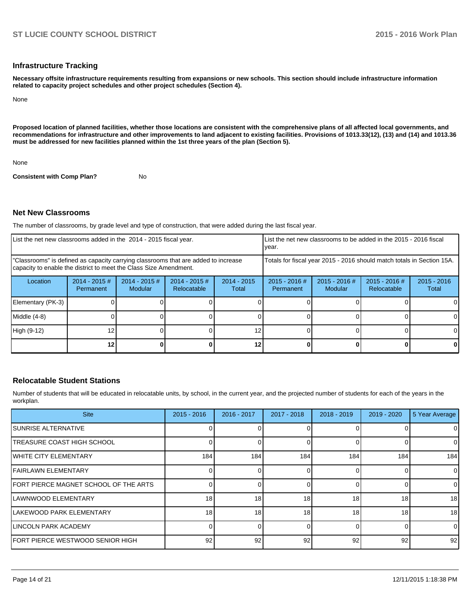#### **Infrastructure Tracking**

**Necessary offsite infrastructure requirements resulting from expansions or new schools. This section should include infrastructure information related to capacity project schedules and other project schedules (Section 4).**

None

**Proposed location of planned facilities, whether those locations are consistent with the comprehensive plans of all affected local governments, and recommendations for infrastructure and other improvements to land adjacent to existing facilities. Provisions of 1013.33(12), (13) and (14) and 1013.36 must be addressed for new facilities planned within the 1st three years of the plan (Section 5).**

None

**Consistent with Comp Plan?** No

#### **Net New Classrooms**

The number of classrooms, by grade level and type of construction, that were added during the last fiscal year.

| List the net new classrooms added in the 2014 - 2015 fiscal year.                                                                                       |                              |                                 |                                |                        | List the net new classrooms to be added in the 2015 - 2016 fiscal<br>vear. |                            |                                |                        |
|---------------------------------------------------------------------------------------------------------------------------------------------------------|------------------------------|---------------------------------|--------------------------------|------------------------|----------------------------------------------------------------------------|----------------------------|--------------------------------|------------------------|
| "Classrooms" is defined as capacity carrying classrooms that are added to increase<br>capacity to enable the district to meet the Class Size Amendment. |                              |                                 |                                |                        | Totals for fiscal year 2015 - 2016 should match totals in Section 15A.     |                            |                                |                        |
| Location                                                                                                                                                | $2014 - 2015$ #<br>Permanent | 2014 - 2015 #<br><b>Modular</b> | $2014 - 2015$ #<br>Relocatable | $2014 - 2015$<br>Total | $2015 - 2016$ #<br>Permanent                                               | $2015 - 2016$ #<br>Modular | $2015 - 2016$ #<br>Relocatable | $2015 - 2016$<br>Total |
| Elementary (PK-3)                                                                                                                                       |                              |                                 |                                |                        |                                                                            |                            |                                |                        |
| Middle (4-8)                                                                                                                                            |                              |                                 |                                |                        |                                                                            |                            |                                |                        |
| High (9-12)                                                                                                                                             | 12                           |                                 |                                | 12                     |                                                                            |                            |                                |                        |
|                                                                                                                                                         | 121                          |                                 |                                | 12                     |                                                                            |                            |                                | 0                      |

#### **Relocatable Student Stations**

Number of students that will be educated in relocatable units, by school, in the current year, and the projected number of students for each of the years in the workplan.

| <b>Site</b>                           | $2015 - 2016$ | 2016 - 2017 | 2017 - 2018 | 2018 - 2019 | $2019 - 2020$ | 5 Year Average |
|---------------------------------------|---------------|-------------|-------------|-------------|---------------|----------------|
| <b>ISUNRISE ALTERNATIVE</b>           |               |             |             |             |               | $\mathbf 0$    |
| ITREASURE COAST HIGH SCHOOL           |               |             |             |             |               | $\overline{0}$ |
| <b>IWHITE CITY ELEMENTARY</b>         | 184           | 184         | 184         | 184         | 184           | 184            |
| <b>IFAIRLAWN ELEMENTARY</b>           |               |             |             |             |               | $\overline{0}$ |
| FORT PIERCE MAGNET SCHOOL OF THE ARTS |               |             |             |             |               | $\overline{0}$ |
| ILAWNWOOD ELEMENTARY                  | 18            | 18          | 18          | 18          | 18            | 18             |
| ILAKEWOOD PARK ELEMENTARY             | 18            | 18          | 18          | 18          | 18            | 18             |
| <b>ILINCOLN PARK ACADEMY</b>          |               |             |             |             | $\Omega$      | $\overline{0}$ |
| FORT PIERCE WESTWOOD SENIOR HIGH      | 92            | 92          | 92          | 92          | 92            | 92             |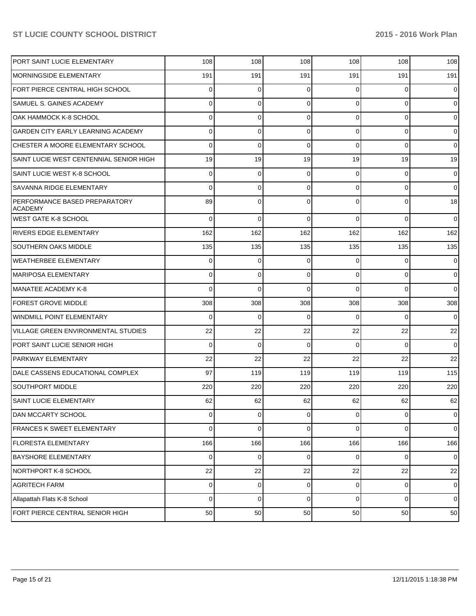| PORT SAINT LUCIE ELEMENTARY                     | 108      | 108         | 108         | 108            | 108            | 108            |
|-------------------------------------------------|----------|-------------|-------------|----------------|----------------|----------------|
| <b>MORNINGSIDE ELEMENTARY</b>                   | 191      | 191         | 191         | 191            | 191            | 191            |
| FORT PIERCE CENTRAL HIGH SCHOOL                 | $\Omega$ | $\Omega$    | 0           | $\Omega$       | $\Omega$       | $\mathbf 0$    |
| SAMUEL S. GAINES ACADEMY                        | 0        | $\Omega$    | $\Omega$    | $\Omega$       | $\Omega$       | $\overline{0}$ |
| OAK HAMMOCK K-8 SCHOOL                          | 0        | $\Omega$    | $\Omega$    | $\Omega$       | $\Omega$       | $\overline{0}$ |
| GARDEN CITY EARLY LEARNING ACADEMY              | 0        | $\Omega$    | $\Omega$    | $\Omega$       | $\Omega$       | $\overline{0}$ |
| CHESTER A MOORE ELEMENTARY SCHOOL               | $\Omega$ | $\Omega$    | $\Omega$    | $\Omega$       | $\Omega$       | $\overline{0}$ |
| SAINT LUCIE WEST CENTENNIAL SENIOR HIGH         | 19       | 19          | 19          | 19             | 19             | 19             |
| SAINT LUCIE WEST K-8 SCHOOL                     | 0        | $\Omega$    | 0           | $\Omega$       | $\Omega$       | $\overline{0}$ |
| SAVANNA RIDGE ELEMENTARY                        | 0        | $\Omega$    | 0           | $\Omega$       | $\Omega$       | $\overline{0}$ |
| PERFORMANCE BASED PREPARATORY<br><b>ACADEMY</b> | 89       | $\Omega$    | $\Omega$    | $\Omega$       | $\Omega$       | 18             |
| <b>WEST GATE K-8 SCHOOL</b>                     | $\Omega$ | $\Omega$    | $\Omega$    | $\Omega$       | $\Omega$       | $\overline{0}$ |
| <b>RIVERS EDGE ELEMENTARY</b>                   | 162      | 162         | 162         | 162            | 162            | 162            |
| <b>SOUTHERN OAKS MIDDLE</b>                     | 135      | 135         | 135         | 135            | 135            | 135            |
| WEATHERBEE ELEMENTARY                           | 0        | $\mathbf 0$ | 0           | $\Omega$       | $\overline{0}$ | $\overline{0}$ |
| <b>MARIPOSA ELEMENTARY</b>                      | $\Omega$ | $\mathbf 0$ | 0           | $\Omega$       | $\Omega$       | $\overline{0}$ |
| MANATEE ACADEMY K-8                             | $\Omega$ | $\Omega$    | $\Omega$    | $\Omega$       | $\Omega$       | $\overline{0}$ |
| <b>FOREST GROVE MIDDLE</b>                      | 308      | 308         | 308         | 308            | 308            | 308            |
| WINDMILL POINT ELEMENTARY                       | $\Omega$ | $\mathbf 0$ | 0           | $\Omega$       | $\Omega$       | $\overline{0}$ |
| <b>VILLAGE GREEN ENVIRONMENTAL STUDIES</b>      | 22       | 22          | 22          | 22             | 22             | 22             |
| PORT SAINT LUCIE SENIOR HIGH                    | $\Omega$ | $\Omega$    | $\Omega$    | $\Omega$       | $\Omega$       | $\overline{0}$ |
| <b>PARKWAY ELEMENTARY</b>                       | 22       | 22          | 22          | 22             | 22             | 22             |
| DALE CASSENS EDUCATIONAL COMPLEX                | 97       | 119         | 119         | 119            | 119            | 115            |
| <b>SOUTHPORT MIDDLE</b>                         | 220      | 220         | 220         | 220            | 220            | 220            |
| <b>SAINT LUCIE ELEMENTARY</b>                   | 62       | 62          | 62          | 62             | 62             | 62             |
| <b>DAN MCCARTY SCHOOL</b>                       | $\Omega$ | $\mathbf 0$ | 0           | $\overline{0}$ | 0              | $\overline{0}$ |
| <b>FRANCES K SWEET ELEMENTARY</b>               | $\Omega$ | $\mathbf 0$ | 0           | $\overline{0}$ | $\overline{0}$ | $\overline{0}$ |
| <b>FLORESTA ELEMENTARY</b>                      | 166      | 166         | 166         | 166            | 166            | 166            |
| <b>BAYSHORE ELEMENTARY</b>                      | $\Omega$ | $\mathbf 0$ | 0           | $\overline{0}$ | $\overline{0}$ | $\overline{0}$ |
| NORTHPORT K-8 SCHOOL                            | 22       | 22          | 22          | 22             | 22             | 22             |
| <b>AGRITECH FARM</b>                            | $\Omega$ | $\mathbf 0$ | 0           | $\overline{0}$ | $\overline{0}$ | $\overline{0}$ |
| Allapattah Flats K-8 School                     | $\Omega$ | $\mathbf 0$ | $\mathbf 0$ | $\overline{0}$ | $\overline{0}$ | $\overline{0}$ |
| FORT PIERCE CENTRAL SENIOR HIGH                 | 50       | 50          | 50          | 50             | 50             | 50             |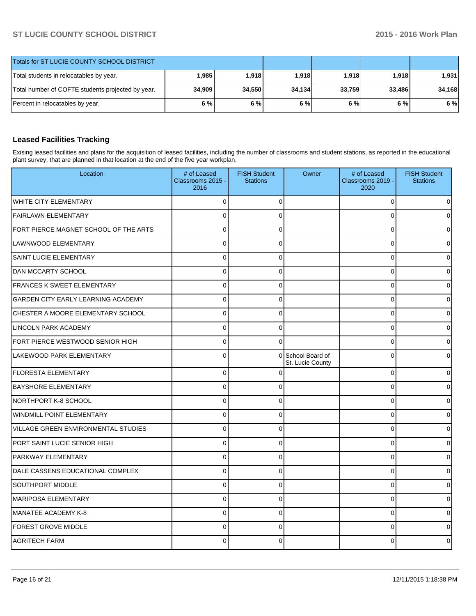| Totals for ST LUCIE COUNTY SCHOOL DISTRICT        |         |        |        |        |              |        |
|---------------------------------------------------|---------|--------|--------|--------|--------------|--------|
| Total students in relocatables by year.           | ا 985.⊦ | 1,918  | 1,918  | 1,918  | <b>1.918</b> | 1,931  |
| Total number of COFTE students projected by year. | 34,909  | 34,550 | 34,134 | 33,759 | 33,486       | 34,168 |
| Percent in relocatables by year.                  | 6 % l   | 6%     | 6%     | 6 % l  | 6%           | 6 %    |

# **Leased Facilities Tracking**

Exising leased facilities and plans for the acquisition of leased facilities, including the number of classrooms and student stations, as reported in the educational plant survey, that are planned in that location at the end of the five year workplan.

| Location                              | # of Leased<br>Classrooms 2015 -<br>2016 | <b>FISH Student</b><br><b>Stations</b> | Owner                                 | # of Leased<br>Classrooms 2019 -<br>2020 | <b>FISH Student</b><br><b>Stations</b> |
|---------------------------------------|------------------------------------------|----------------------------------------|---------------------------------------|------------------------------------------|----------------------------------------|
| <b>WHITE CITY ELEMENTARY</b>          | $\Omega$                                 | 0                                      |                                       | $\mathbf 0$                              |                                        |
| <b>FAIRLAWN ELEMENTARY</b>            | $\Omega$                                 | O                                      |                                       | $\Omega$                                 |                                        |
| FORT PIERCE MAGNET SCHOOL OF THE ARTS | $\Omega$                                 | 0                                      |                                       | $\mathbf 0$                              |                                        |
| LAWNWOOD ELEMENTARY                   | 0                                        | $\Omega$                               |                                       | $\Omega$                                 |                                        |
| SAINT LUCIE ELEMENTARY                | $\Omega$                                 | $\Omega$                               |                                       | $\mathbf 0$                              |                                        |
| <b>DAN MCCARTY SCHOOL</b>             | 0                                        | 0                                      |                                       | 0                                        |                                        |
| <b>FRANCES K SWEET ELEMENTARY</b>     | $\Omega$                                 | 0                                      |                                       | $\mathbf 0$                              |                                        |
| GARDEN CITY EARLY LEARNING ACADEMY    | $\overline{0}$                           | 0                                      |                                       | $\mathbf 0$                              |                                        |
| CHESTER A MOORE ELEMENTARY SCHOOL     | 0                                        | $\Omega$                               |                                       | $\mathbf 0$                              |                                        |
| <b>LINCOLN PARK ACADEMY</b>           | $\mathbf{0}$                             | 0                                      |                                       | 0                                        |                                        |
| FORT PIERCE WESTWOOD SENIOR HIGH      | $\Omega$                                 | 0                                      |                                       | $\pmb{0}$                                |                                        |
| <b>LAKEWOOD PARK ELEMENTARY</b>       | 0                                        |                                        | 0 School Board of<br>St. Lucie County | 0                                        |                                        |
| <b>FLORESTA ELEMENTARY</b>            | $\overline{0}$                           | C                                      |                                       | 0                                        | U                                      |
| <b>BAYSHORE ELEMENTARY</b>            | $\Omega$                                 | O                                      |                                       | $\mathbf 0$                              |                                        |
| NORTHPORT K-8 SCHOOL                  | 0                                        | $\Omega$                               |                                       | $\mathbf 0$                              |                                        |
| WINDMILL POINT ELEMENTARY             | 0                                        | $\Omega$                               |                                       | $\mathbf 0$                              |                                        |
| VILLAGE GREEN ENVIRONMENTAL STUDIES   | $\overline{0}$                           | C                                      |                                       | $\mathbf 0$                              |                                        |
| PORT SAINT LUCIE SENIOR HIGH          | $\overline{0}$                           | 0                                      |                                       | $\mathbf 0$                              | 0                                      |
| <b>PARKWAY ELEMENTARY</b>             | $\Omega$                                 | 0                                      |                                       | $\mathbf 0$                              |                                        |
| DALE CASSENS EDUCATIONAL COMPLEX      | $\Omega$                                 | $\Omega$                               |                                       | $\mathbf 0$                              |                                        |
| SOUTHPORT MIDDLE                      | $\overline{0}$                           | C                                      |                                       | $\mathbf 0$                              |                                        |
| <b>MARIPOSA ELEMENTARY</b>            | $\Omega$                                 | $\Omega$                               |                                       | $\Omega$                                 | 0                                      |
| MANATEE ACADEMY K-8                   | $\Omega$                                 | 0                                      |                                       | $\mathbf 0$                              |                                        |
| <b>FOREST GROVE MIDDLE</b>            | $\Omega$                                 | 0                                      |                                       | $\Omega$                                 |                                        |
| <b>AGRITECH FARM</b>                  | C                                        |                                        |                                       | 0                                        |                                        |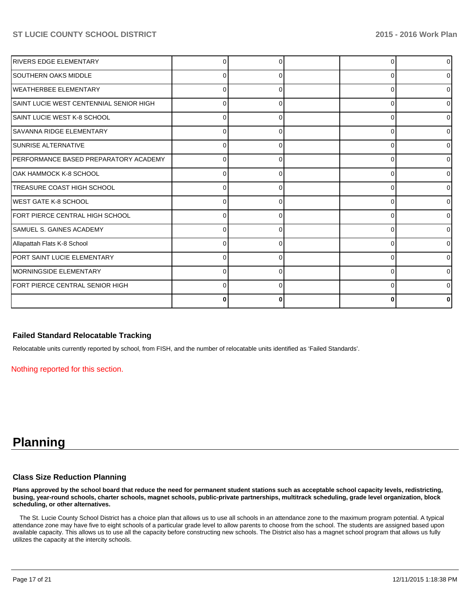| <b>RIVERS EDGE ELEMENTARY</b>           |              |   |   | 0              |
|-----------------------------------------|--------------|---|---|----------------|
| <b>ISOUTHERN OAKS MIDDLE</b>            | 0            | 0 |   | 01             |
| WEATHERBEE ELEMENTARY                   | n            |   |   | 01             |
| SAINT LUCIE WEST CENTENNIAL SENIOR HIGH | 0            | 0 | C | 01             |
| ISAINT LUCIE WEST K-8 SCHOOL            | 0            | O | C | 01             |
| ISAVANNA RIDGE ELEMENTARY               | 0            | ŋ | O | 01             |
| ISUNRISE ALTERNATIVE                    | 0            | U | ŋ | 0              |
| IPERFORMANCE BASED PREPARATORY ACADEMY  | <sup>0</sup> | ŋ | C | 0              |
| OAK HAMMOCK K-8 SCHOOL                  |              |   |   | $\Omega$       |
| <b>TREASURE COAST HIGH SCHOOL</b>       |              |   |   | $\overline{0}$ |
| <b>IWEST GATE K-8 SCHOOL</b>            |              |   |   | οI             |
| FORT PIERCE CENTRAL HIGH SCHOOL         |              |   | O | 01             |
| ISAMUEL S. GAINES ACADEMY               |              |   |   | $\overline{0}$ |
| Allapattah Flats K-8 School             | o            |   |   | $\overline{0}$ |
| PORT SAINT LUCIE ELEMENTARY             |              |   |   | 0              |
| MORNINGSIDE ELEMENTARY                  |              | 0 | C | 0              |
| FORT PIERCE CENTRAL SENIOR HIGH         |              | 0 | C | ΩI             |
|                                         | 0            | 0 |   | n              |

#### **Failed Standard Relocatable Tracking**

Relocatable units currently reported by school, from FISH, and the number of relocatable units identified as 'Failed Standards'.

Nothing reported for this section.

# **Planning**

#### **Class Size Reduction Planning**

**Plans approved by the school board that reduce the need for permanent student stations such as acceptable school capacity levels, redistricting, busing, year-round schools, charter schools, magnet schools, public-private partnerships, multitrack scheduling, grade level organization, block scheduling, or other alternatives.**

 The St. Lucie County School District has a choice plan that allows us to use all schools in an attendance zone to the maximum program potential. A typical attendance zone may have five to eight schools of a particular grade level to allow parents to choose from the school. The students are assigned based upon available capacity. This allows us to use all the capacity before constructing new schools. The District also has a magnet school program that allows us fully utilizes the capacity at the intercity schools.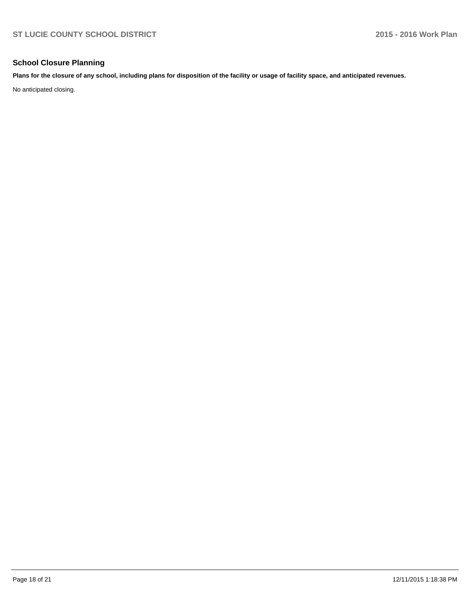## **School Closure Planning**

**Plans for the closure of any school, including plans for disposition of the facility or usage of facility space, and anticipated revenues.**

No anticipated closing.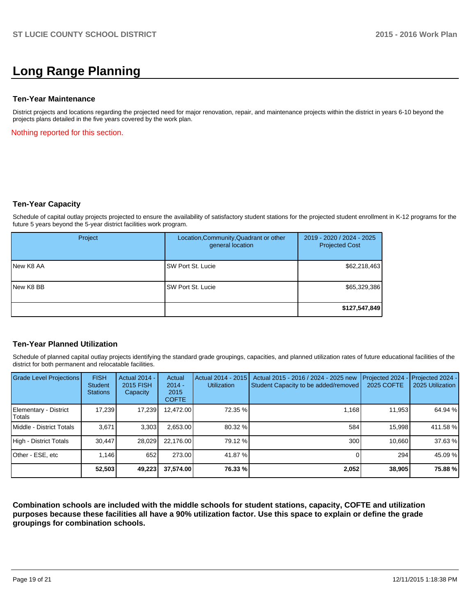# **Long Range Planning**

#### **Ten-Year Maintenance**

District projects and locations regarding the projected need for major renovation, repair, and maintenance projects within the district in years 6-10 beyond the projects plans detailed in the five years covered by the work plan.

Nothing reported for this section.

#### **Ten-Year Capacity**

Schedule of capital outlay projects projected to ensure the availability of satisfactory student stations for the projected student enrollment in K-12 programs for the future 5 years beyond the 5-year district facilities work program.

| Project          | Location, Community, Quadrant or other<br>general location | 2019 - 2020 / 2024 - 2025<br><b>Projected Cost</b> |
|------------------|------------------------------------------------------------|----------------------------------------------------|
| <b>New K8 AA</b> | SW Port St. Lucie                                          | \$62,218,463                                       |
| <b>New K8 BB</b> | SW Port St. Lucie                                          | \$65,329,386                                       |
|                  |                                                            | \$127,547,849                                      |

## **Ten-Year Planned Utilization**

Schedule of planned capital outlay projects identifying the standard grade groupings, capacities, and planned utilization rates of future educational facilities of the district for both permanent and relocatable facilities.

| <b>Grade Level Projections</b>           | <b>FISH</b><br><b>Student</b><br><b>Stations</b> | <b>Actual 2014 -</b><br>2015 FISH<br>Capacity | Actual<br>$2014 -$<br>2015<br><b>COFTE</b> | Actual 2014 - 2015<br><b>Utilization</b> | Actual 2015 - 2016 / 2024 - 2025 new<br>Student Capacity to be added/removed | Projected 2024<br><b>2025 COFTE</b> | Projected 2024 -<br>2025 Utilization |
|------------------------------------------|--------------------------------------------------|-----------------------------------------------|--------------------------------------------|------------------------------------------|------------------------------------------------------------------------------|-------------------------------------|--------------------------------------|
| Elementary - District<br><b>I</b> Totals | 17,239                                           | 17,239                                        | 12,472.00                                  | 72.35 %                                  | 1,168                                                                        | 11,953                              | 64.94 %                              |
| Middle - District Totals                 | 3.671                                            | 3,303                                         | 2,653.00                                   | 80.32 %                                  | 584                                                                          | 15,998                              | 411.58 %                             |
| High - District Totals                   | 30.447                                           | 28.029                                        | 22.176.00                                  | 79.12 %                                  | 300                                                                          | 10.660                              | 37.63 %                              |
| Other - ESE, etc                         | 1.146                                            | 652                                           | 273.00                                     | 41.87 %                                  |                                                                              | 294                                 | 45.09 %                              |
|                                          | 52,503                                           | 49,223                                        | 37,574.00                                  | 76.33 %                                  | 2,052                                                                        | 38,905                              | 75.88 %                              |

**Combination schools are included with the middle schools for student stations, capacity, COFTE and utilization purposes because these facilities all have a 90% utilization factor. Use this space to explain or define the grade groupings for combination schools.**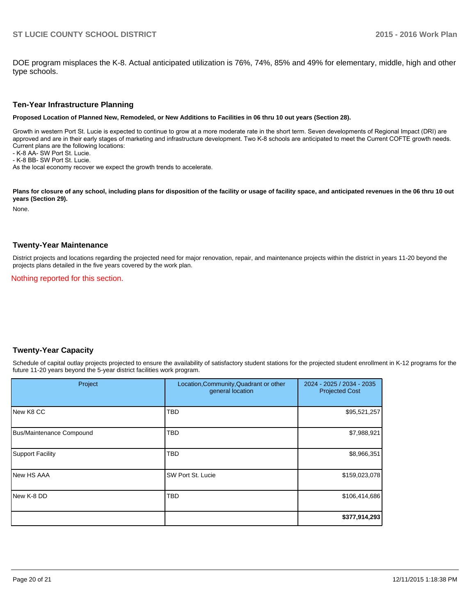DOE program misplaces the K-8. Actual anticipated utilization is 76%, 74%, 85% and 49% for elementary, middle, high and other type schools.

#### **Ten-Year Infrastructure Planning**

**Proposed Location of Planned New, Remodeled, or New Additions to Facilities in 06 thru 10 out years (Section 28).**

Growth in western Port St. Lucie is expected to continue to grow at a more moderate rate in the short term. Seven developments of Regional Impact (DRI) are approved and are in their early stages of marketing and infrastructure development. Two K-8 schools are anticipated to meet the Current COFTE growth needs. Current plans are the following locations: - K-8 AA- SW Port St. Lucie.

- K-8 BB- SW Port St. Lucie.

As the local economy recover we expect the growth trends to accelerate.

Plans for closure of any school, including plans for disposition of the facility or usage of facility space, and anticipated revenues in the 06 thru 10 out **years (Section 29).**

None.

#### **Twenty-Year Maintenance**

District projects and locations regarding the projected need for major renovation, repair, and maintenance projects within the district in years 11-20 beyond the projects plans detailed in the five years covered by the work plan.

Nothing reported for this section.

## **Twenty-Year Capacity**

Schedule of capital outlay projects projected to ensure the availability of satisfactory student stations for the projected student enrollment in K-12 programs for the future 11-20 years beyond the 5-year district facilities work program.

| Project                  | Location, Community, Quadrant or other<br>general location | 2024 - 2025 / 2034 - 2035<br><b>Projected Cost</b> |  |
|--------------------------|------------------------------------------------------------|----------------------------------------------------|--|
| <b>New K8 CC</b>         | <b>TBD</b>                                                 | \$95,521,257                                       |  |
| Bus/Maintenance Compound | <b>TBD</b>                                                 | \$7,988,921                                        |  |
| Support Facility         | <b>TBD</b>                                                 | \$8,966,351                                        |  |
| <b>New HS AAA</b>        | SW Port St. Lucie                                          | \$159,023,078                                      |  |
| New K-8 DD               | <b>TBD</b>                                                 | \$106,414,686                                      |  |
|                          |                                                            | \$377,914,293                                      |  |